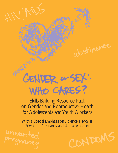

2 bstinence

JDOM

HIVIADS

unwante

megna

Skills-Building Resource Pack on Gender and Reproductive Health for Adolescents and Youth Workers

With a Special Emphasis on Violence, HIV/STIs, Unwanted Pregnancy and Unsafe Abortion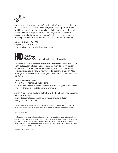

Ipas works globally to improve women's lives through a focus on reproductive health. Our work is based on the principle that every woman has a right to the highest available standard of health, to safe reproductive choices and to high-quality health care.We concentrate on preventing unsafe abortion, improving treatment of its complications and reducing its consequences.We strive to empower women by increasing access to services that enhance their reproductive and sexual health.

300 Market Street • Suite 200 Chapel Hill, NC 27516 • USA e-mail: ipas@ipas.org • website: http://www.ipas.org

# **STATES STATES OF THE STATES** Health & Development Networks (HDN)

The mission of HDN is to mobilize a more effective response to HIV/AIDS and other health- and development-related issues by improving information, communication and the quality of debate. HDN focuses on building capacity through training in developing countries and manages many high-quality electronic fora on HIV/AIDS, including those focused on HIV/AIDS and gender, youth, sex work, care-related issues and stigma.

Health & Development Networks

P.O. Box 7517 • Malahide, Co Dublin, Ireland or P.O. Box 173, Chiang Mai University Post Office, Muang Chiang Mai 50200,Thailand e-mail: info@hdnet.org • website: http://www.hdnet.org

Authors: Maria de Bruyn (Ipas) and Nadine France (Health & Development Networks) Editor: Maria de Bruyn Graphic Design and Production: Beth Landis Rimmer and Valerie Holbert Printing:Americolor, Garner, NC

Suggested citation: de Bruyn, Maria and France, Nadine, 2001. Gender or sex: who cares? Skills-building resource pack on gender and reproductive health for adolescents and youth workers. Chapel Hill: Ipas

ISBN 1-882220-26-9

©2001 Ipas.All rights reserved.This publication may be reviewed, quoted, reproduced or translated, in part or in full, for educational and/or nonprofit purposes if: (1) Ipas is notified in advance of the extent and nature of the intended use; (2) Ipas's copyright is acknowledged in the reproduced materials, and the authors' names, document title and date are clearly cited; and (3) a copy of the material is sent to Ipas • 300 Market Street, Suite 200 • Chapel Hill, NC 27516, USA

Printed in USA on recycled paper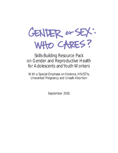

Skills-Building Resource Pack on Gender and Reproductive Health for Adolescents and Youth Workers

With a Special Emphasis on Violence, HIV/STIs, Unwanted Pregnancy and Unsafe Abortion

September 2001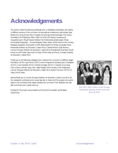# **Acknowledgements**

The authors thank the following individuals who co-facilitated presentation and testing of different versions of the curriculum at international conferences: Leila Adesse (Ipas, Brazil);Amy Fung (Queen Mary Hospital, Hong Kong); Ferdie Buenviaje (The Library Foundation, the Philippines); Peter Gillies (One World Training, Canada); Joost Hoppenbrouwer (Royal Tropical Institute,The Netherlands); Jerald Joseph (Pusat Komunikassi Masyarakat – Komas, Malaysia); Zaitun Kasim (All Women's Action Society, Malaysia);Alessandro Marimpietri (GAPA-Bahia, Brazil);Tim McKay (Australia);Astrid Mendocilla (Instituto de Educación y Salud, Peru); Claudia Moreno (Ipas, Mexico); Carmen Murguía (Instituto de Educación y Salud, Peru); Nkosikhulule Nyembezi (South Africa); Dorée Trottier (Ipas, USA); K.Vidya (YAAR, India) and Rocío Zumaeta (Instituto de Educación y Salud, Peru).

Thanks go to the following colleagues who reviewed the curriculum at different stages: Paul Bloem (WHO), Jean Burke (AIDS Control Programme, Tanzania), Jane Cottingham (WHO), Carol Djeddah (WHO), Pamela Hartigan (WHO), Charlotte Hord (Ipas, USA),Aimee Lehmann (Ipas, USA), Isabel Melgar (AIDS Society of the Philippines), Carmen Murguía (Instituto de Educación y Salud, Peru), Robert Thomson (WHO), K. Vidya (YAAR, India).

Special thanks go to Carmen Murguía (Instituto de Educación y Salud, Lima, Peru) for her substantial contributions.We would also like to thank all of the people who participated in the workshops that helped develop the curriculum.Their feedback and valuable comments were a great resource.

Funding for this project was provided by the Summit Foundation and Wallace Global Fund.



*(from left to right) K.Vidya, Carmen Murguía, Nkosikhulule Nyembezi, Nadine France and Maria de Bruyn*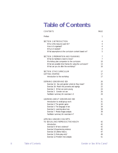# **Table of Contents**

CONTENTS PAGE

| Preface                                                                                                                                                                                                                                                    | 1                                      |
|------------------------------------------------------------------------------------------------------------------------------------------------------------------------------------------------------------------------------------------------------------|----------------------------------------|
| <b>SECTION 1: INTRODUCTION</b>                                                                                                                                                                                                                             | 4                                      |
| Who is this resource pack for?                                                                                                                                                                                                                             | 4                                      |
| How is it organised?                                                                                                                                                                                                                                       | 4                                      |
| Why is it needed?                                                                                                                                                                                                                                          | 4                                      |
| What assumptions is the curriculum content based on?                                                                                                                                                                                                       | 5                                      |
| <b>SECTION 2: PREPARATION AND PLANNING</b>                                                                                                                                                                                                                 | 7                                      |
| What do facilitators need to know?                                                                                                                                                                                                                         | $\overline{7}$                         |
| Workshop plan: companion to the curriculum                                                                                                                                                                                                                 | 10                                     |
| What are possible time frames for using the curriculum?                                                                                                                                                                                                    | 13                                     |
| What can you do after the workshop?                                                                                                                                                                                                                        | 16                                     |
| <b>SECTION 3: THE CURRICULUM</b>                                                                                                                                                                                                                           | 17                                     |
| <b>GETTING STARTED</b>                                                                                                                                                                                                                                     | 17                                     |
| Introduction to the workshop                                                                                                                                                                                                                               | 17                                     |
| DEFINING GENDER AND SEX                                                                                                                                                                                                                                    | 20                                     |
| Exercise 1A: Sex and gender: what do they mean?                                                                                                                                                                                                            | 20                                     |
| Exercise 1B: Match the proverbs and sayings                                                                                                                                                                                                                | 22                                     |
| Exercise 2: When we were young                                                                                                                                                                                                                             | 24                                     |
| Exercise 3: Gender not sex                                                                                                                                                                                                                                 | 26                                     |
| Facilitator summary for exercises 1-3                                                                                                                                                                                                                      | 29                                     |
| LEARNING ABOUT GENDER AND SEX                                                                                                                                                                                                                              | 31                                     |
| Introduction to small-group work                                                                                                                                                                                                                           | 31                                     |
| Exercise 4: The gender game                                                                                                                                                                                                                                | 32                                     |
| Exercise 5: The language of sex                                                                                                                                                                                                                            | 34                                     |
| Exercise 6: Learning about sex                                                                                                                                                                                                                             | 38                                     |
| Exercise 7: Media images analysis                                                                                                                                                                                                                          | 39                                     |
| Facilitator summary for exercises 4-7                                                                                                                                                                                                                      | 41                                     |
| APPLYING GENDER CONCEPTS<br>TO SEXUAL AND REPRODUCTIVE HEALTH<br>Introduction<br>Exercise 8: What is violence?<br>Exercise 9: Experiencing violence<br>Exercise 10: Lifeline history<br>Exercise 11: Role-play: why?<br>Exercise 12: Problem tree analysis | 42<br>42<br>42<br>45<br>47<br>49<br>51 |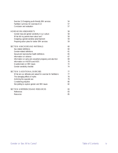| Exercise 13: Designing youth-friendly SRH services              | 54 |
|-----------------------------------------------------------------|----|
| Facilitator summary for exercises 8-13                          | 57 |
| Conclusion and evaluation                                       | 57 |
| <b>HOME-WORK ASSIGNMENTS</b>                                    | 58 |
| Gender bias and gender sensitivity in our culture               | 58 |
| What did my parents learn about sex?                            | 58 |
| Designing a gender-sensitive advertisement                      | 59 |
| Preparing action plans for better SRH services                  | 59 |
| <b>SECTION 4: BACKGROUND MATERIALS</b>                          | 60 |
| Sex-related definitions                                         | 60 |
| Gender-related definitions                                      | 61 |
| Sexual and reproductive health definitions                      | 65 |
| Information on violence                                         | 67 |
| Information on early and unwanted pregnancy and abortion        | 69 |
| Information on HIV/STIs and AIDS                                | 70 |
| Questionnaire on SRH issues                                     | 72 |
| Gender sensitivity checklist                                    | 74 |
| <b>SECTION 5: ADDITIONAL EXERCISES</b>                          | 77 |
| What are our attitudes and values? An exercise for facilitators | 77 |
| The damaging effects of myths                                   | 78 |
| Admiring the opposite sex                                       | 79 |
| Considering prejudice                                           | 80 |
| Storytelling to explore gender and SRH issues                   | 82 |
| <b>SECTION 6: REFERENCES AND RESOURCES</b>                      | 83 |
| References                                                      | 83 |
| <b>Resources</b>                                                | 85 |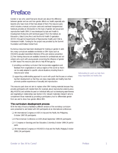# **Preface**

Gender or sex: who cares? Everyone should care about the difference between gender and sex and how gender affects our health, especially adolescents who have most of their lives ahead of them.This resource pack, which includes a manual, curriculum cards and overhead transparencies/ handouts, provides an introduction to the topic of gender and sexual and reproductive health (SRH). It was developed by Ipas and Health & Development Networks with technical support from the Instituto de Educación y Salud (Lima, Peru) and the World Health Organization (WHO) through its Departments of Reproductive Health, and Child & Adolescent Health. Funding for the project was provided by the Summit Foundation and Wallace Global Fund.

Numerous resources have been developed for training on gender. In addition, many curricula are available worldwide on SRH topics such as HIV/AIDS, sexually transmitted infections (STIs), and violence prevention [1]. Few training resources are available, however, for professionals and volunteers who work with young people concerning the influence of gender on SRH issues.This resource pack aims to help fill that gap by:

- 1) providing a workshop curriculum that incorporates suggestions and feedback from organizations in various regions of the world so that it can be easily adapted to specific cultural situations, including those in resource-poor areas
- 2) supporting a skills-building approach to work with youth that focuses on enhancing their development so that they can enjoy responsible and healthy lives that promote positive experiences of sexuality and reproduction.

This resource pack does not aim to replace other SRH training materials because they provide participants with needed facts (for example, about reproductive anatomy, sexuality, HIV/STIs) and activities focused on individual skills, such as developing assertiveness and negotiating in relationships (see Section 6 for relevant materials). Instead it aims to complement those materials by providing a participatory tool to differentiate gender from sex and to show how gender affects SRH.

#### **The curriculum development process**

With the help of local co-facilitators, different versions of the workshop curriculum were presented to and tested with 443 participants at six international conferences:

- ❑ 4th International Congress on AIDS in Asia and the Pacific, the Philippines, October 1997: 95 participants
- ❑ VI Pan-American Conference on AIDS, Brazil, September 1999: 65 participants
- ❑ X Congress on Sexology and Sex Education, Colombia, October 1999: 24 participants
- ❑ 5th International Congress on HIV/AIDS in Asia and the Pacific, Malaysia, October 1999, 134 participants



*Skills-building for youth can help them enjoy responsible and healthy lives*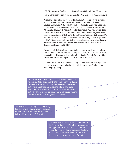- ❑ XIII International Conference on HIV/AIDS, South Africa, July 2000: 99 participants
- ❑ XI Congress on Sexology and Sex Education, Peru, October 2000: 26 participants.

Participants – both adults and young adults of about 24-30 years – at the conference workshops came from Argentina, Australia, Bangladesh, Barbados, Bolivia, Brazil, Cambodia, Chile, People's Republic of China, Hong Kong-China, Colombia, Costa Rica, Dominican Republic, Ecuador, Ghana, Honduras, India, Indonesia, Jamaica, Kenya, Lao PDR, Lesotho, Malawi, Mali, Malaysia, Mongolia, Mozambique, Myanmar, Namibia, Nepal, Nigeria, Pakistan, Peru, Puerto Rico, the Philippines, Rwanda, Senegal, Singapore, South Africa, Sri Lanka, Swaziland,Thailand,Trinidad and Tobago,Tunisia, Uganda, Uruguay, USA, Vietnam, Zambia and Zimbabwe.They included people working for NGOs specializing in HIV/AIDS, adolescent health and SRH, universities, health services and hospitals, governmental ministries, and United Nations agencies including the United Nations Development Program and UNIFEM.

Twenty-one NGOs tested the whole curriculum or parts of it with over 970 adolescent and adult women and men aged 13-65 years in Brazil, Guatemala, Kosovo, Malawi, Malaysia, Mexico, Mozambique, Nigeria, Peru,The Philippines,Tanzania, Zambia and the USA; dissemination also took place through the Internet and e-mail.

We would like to have your feedback on using the curriculum and resource pack. Your commments may be shared with others through the Ipas website. Send your comments to: ipas@ipas.org

"IES has witnessed the evolution of this curriculum…and how it has incorporated changes according to needs observed in diverse realities where the workshop has been presented….we believe that it has gradually become sensitive to cultural differences, which validates its applicability in different contexts.We believe that the theme of gender and gender equity is a unifying element that cuts across cultures and generations." (Peru)

"We saw how the teaching methodologies, e.g., brainstorming, role-play, discussion, etc., can be used for difficult issues.These are good additions instead of forgettable facts." (Tanzania)

> "This workshop has contributed to our overall work in that it has enriched our HIV/AIDS curriculum content and supplied us with some new vocabulary. It has opened the young people's minds to understand and accept that there are people who are different from themselves and their ways of life…" (Zambia)

Assessment of the local division of the local division of the local division of the local division of the local division of the local division of the local division of the local division of the local division of the local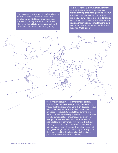"The response we received from the participants during and after the workshop was very positive… this workshop has benefited the participants enormously in relation to how they relate within their personal relationships, their attitudes and behaviour and how it can influence their reproductive health." (Kosovo)

"Overall, the workshop is very informative and very systematically conceptualised.The module is very helpful in clarifying key points on gender and sex. [Our] experience in handling this activity has helped us further mould our workshops in contextualising Filipino issues…We admire the idea that all activities are very interactive and participatory. Some of the participants have claimed that they have learned new things while having fun." (the Philippines)

"All of [the participants] found that they gained a lot of new information that they never could get through textbooks.They thought that this is an interesting way to learn about reproductive health by discussing and taking a participatory role rather than just reading or through lectures.All of them found that this workshop allowed them to bring up and discuss topics that are in normal circumstances taboo and sensitive in the society.They were quite shy with each other at first but as the activities progressed they grew comfortable with everyone.They found that being able to discuss about these topics is important to voice out concern later in the society. Quite a few thought that it is a good training to put into practice.They would very much like to recommend their friends, parents and other adults to participate in a workshop like this." (Malaysia)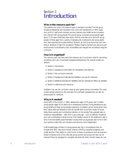# Section 1: **Introduction**

#### **Who is this resource pack for?**

The audience for whom this resource pack is intended is twofold.The first group includes professionals and volunteers who work with adolescents on SRH issues, such as NGO staff, youth outreach workers, teachers and health-service providers who interact with young people.The second group comprises young people aged about 13-24 years. Field-tests have shown that the exercises work well with young people of these ages from a variety of backgrounds.Adolescents and young adults who have experienced societal violence (Kosovo), as well as young women and men living in situations of high HIV prevalence (Malawi, Nigeria, Zambia) and resource-poor environments (rural Tanzania, USA) all benefited and enjoyed the workshops using the curriculum.

#### **How is it organised?**

The resource pack has three parts: this manual, a set of curriculum cards for use during workshops and a set of overhead transparencies/handouts.The manual contains six sections:

- ❑ Section 1: introduction
- ❑ Section 2: background information for preparation and planning
- ❑ Section 3: the curriculum exercises
- ❑ Section 4: background materials that facilitators can use for handouts
- ❑ Section 5: additional exercises (for facilitators and, for example, for follow-up activities)
- ❑ Section 6: references and resources.

Facilitators can use the curriculum cards as quick guides during a workshop.The cards contain sample answers to the exercises.The overhead transparencies can also be photocopied for handouts.

#### **Why is it needed?**

About 85% of the world's 1.1 billion adolescents (aged 10-19 years) and 1.5 billion young people (aged 10-24 years) live in developing countries. During adolescence and young adulthood these young people experience a transition period during which they learn values, skills and behaviours that can benefit them as workers, heads of households, future parents and contributing members of civil society.They gradually take on numerous responsibilities – often from a very early age – such as childcare, household work and contributing to family income.This transition period to full adulthood is also a time of normal, healthy experimentation during which young people start to form their own opinions, make their own decisions and become more independent.

Unfortunately, large numbers of young people also live in circumstances that can increase their SRH risks, which include violence, HIV/STIs, unwanted pregnancy and unsafe abortion.Their ability to control some of these circumstances, such as poverty, is limited. However, some of the risks that young women and young men face can be reduced if they are equipped to recognise and deal with them. Gender biases are one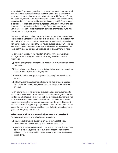such risk factor.When young people learn to recognise how gender-based norms and roles can decrease their choices, they can also begin learning how to change these norms and resist expectations and situations that put them at risk. One way of aiding this process is by focusing on 'developmental assets' – factors in their environment and personal qualities that promote healthy growth and development [2].The environmental factors include measures to provide young people with support, safety, clear expectations and opportunities to contribute to society.The personal qualities give young women and young men a sense of self-esteem, self-worth, and the capability to make informed and responsible decisions.

This resource pack aims to help young people develop some of the above-mentioned personal qualities such as being able to recognise and deal with gender biases that may affect their SRH.The curriculum allows them to practise analytical skills that can help them identify situations and factors that can increase and decrease their SRH risks, and learn how to express their wishes concerning the information and services they need. These are first steps toward empowering adolescents to exercise their SRH rights.

The participatory exercises in this manual are presented with a progressive focus – both regarding methodology and content – that is integral to the curriculum's effectiveness:

- ❑ First, the concepts of sex and gender are introduced so that participants learn the differences.
- ❑ Next, participants are given an opportunity to reflect on how these concepts are present in their daily lives and society in general.
- ❑ In the third section, participants analyse how the concepts are transmitted and learned.
- ❑ In the final set of exercises, participants analyse the effect of gender concepts on SRH problems and are encouraged to come up with ways to deal with these problems.

The progressive design of the curriculum is valuable because it reviews participants' previous experiences, constructs new, or reinforces existing, knowledge with their participation and offers tools so that they can apply the knowledge to their personal lives. Moreover, the exercises touch upon both intellectual understanding and emotional experience, which together can promote more sustainable changes in attitudes and behaviours. It creates an opportunity for participants to look inward and become conscious of barriers that sometimes prevent them from challenging gender-based stereotypes that can negatively influence SRH.

#### **What assumptions is the curriculum content based on?**

The curriculum is based on several fundamental assumptions:

- ❑ Gender-based norms and stereotypes can lead to increased SRH risks. Adolescents must therefore be equipped to challenge these norms.
- ❑ Gender is particularly complex since it interacts with other social factors such as economics, age, power, culture, etc. Because of this it requires responses that address both the individual and institutional levels.This curriculum addresses the individual level.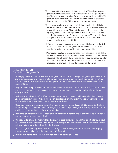- ❑ It is important to discuss various SRH problems HIV/STIs, violence, unwanted pregnancy and unsafe abortion – in an integrated manner from a gender perspective.The same risk situations and risk factors increase vulnerability to multiple SRH problems; moreover, different SRH problems affect one another (e.g., sexual violence can lead to both HIV/STI infection and unwanted pregnancy).
- ❑ Programmes must respect young people's SRH rights, such as the right to information and education. Adolescents are expected to take on increasing amounts of responsibilities as they mature.They must also have the chance to express their opinions, contribute their knowledge and be enabled to take care of their own sexual and reproductive health.This means that training on SRH must offer them an opportunity to ask all their questions and receive respectful and truthful answers regarding all aspects of SRH [3].
- ❑ Effective programmes encourage young people's participation, address the SRH needs of both young women and young men, and address both the positive aspects of sexuality as well as possible negative consequences [4].
- ❑ Young people may face considerable criticism if they are perceived to be challenging traditions and social norms.They need to know they can count on gender-sensitive adults who will support them in discussions with parents, teachers and other influential adults in their lives. In order to be able to fulfil this role, facilitators who use this curriculum should have done the exercises first themselves.

#### *Feedback from the Field— The Curriculum's Progressive Focus*

- ❑ *"In surveying the workshop I noticed a remarkable change each day. From the participants performing the simpler exercises at the beginning and progressing on to the more complex exercises, the transformation was remarkable.The participants were enthusiastic and got more involved as it progressed.They had no problem with any of the exercises and were very forthcoming with their responses." (Kosovo)*
- ❑ *"It opened up the participants' assimilation ability in a way that they had a chance to learn small simple subjects, then went up to now learn a bit complex subject. In the process, they managed to connect two or three subjects to make a full comprehensive meaning." (Malawi)*
- ❑ *"It allows a better understanding of the difference between 'sex' and 'gender' to be established first.After which, the concept was used in exercises so that participants see how it has been established in society.The last part was especially useful where participants were able to relate gender issues to real problems in life." (Malaysia)*
- ❑ *"It arouses the curiosity of participants and makes them eager to learn more because they don't find the sessions daunting from the onset. Participants are at different levels of knowledge and awareness of topics. Starting with rudimentary information makes it possible to carry everyone along in the learning process." (Nigeria)*
- ❑ *"It facilitated reflection and allowed the participants to relate the concepts to their own experiences, facilitating the development of competencies in a progressive manner." (Peru)*
- ❑ *"It is indeed useful to follow this incremental flow of discussion on gender and sexuality.This will let participants take time to digest the concepts/issues being presented to them by each activity.This has prepared them to analyse the issue more deeply and meaningfully during the course of the whole activity." (The Philippines)*
- ❑ *"In African languages, discussing sexual matters has a lot of stigma.Therefore starting to introduce these slowly helps people get ready and become used to discussing them and using them." (Tanzania)*
- ❑ *"It started from the known to the unknown; from the familiar to the less familiar". (Zambia)*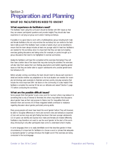# Section 2: **Preparation and Planning**

### *WHAT DO FACILITATORS NEED TO KNOW?*

#### **What experience do facilitators need?**

The facilitator team using this curriculum should be familiar with SRH issues so that they can answer participants' questions and provide insights.They should also have experience in carrying out group work and/or training workshops.

If possible, it is a good idea to work with a multidisciplinary group including both male and female facilitators; this not only enriches the workshop but can reinforce the facilitators' skills as well. If the facilitator team consists of adults only, it can be beneficial to ensure that the team always includes at least one younger adult.At least two facilitators are needed for this workshop since it is important that they can take turns leading exercises, guiding discussions and taking notes (for example, on points brought up in group discussions that need to be highlighted in exercise summaries).

Ideally, the facilitators will have first completed all the exercises themselves.They will then have a better idea of the issues that may arise during the activities.The exercises will also help them assess their own feelings, assumptions and beliefs regarding gender issues so that they are better able to support adolescents who practise gender-sensitive behaviours [5].

Before actually running a workshop, the team should meet to discuss each exercise in detail and decide whether any adaptations to the local situation are needed (for example, terminology used, examples to illustrate summary points, role-play scenarios that include the most important SRH risk factors in the community). It is also helpful if the facilitators complete the exercise 'What are our attitudes and values?' (Section 5, page 77) before conducting the workshop.

#### **What are the possible difficult issues?**

Some people think that 'gender' is just a new word for 'women'; others may believe it is something that is only of interest to 'feminists'. Yet others may believe that discussions about gender have as their real purpose to 'blame men' for inequalities that exist between them and women.All of these misguided beliefs contribute to resistance regarding discussion about gender, particularly among adults.

Many young people will never have heard the word 'gender' before.They will, however, be able to recognise differences in men's and women's roles and behaviours expected of men and women, boys and girls.Testing has shown that even younger adolescents (13-14 years) can identify and express how males and females are treated differently. Facilitators may therefore not want to use the word 'gender' at the start of the workshop, introducing it only after participants have come to understand what it implies.

In some languages, there is no easily identifiable word that describes gender. In these circumstances, it is important for facilitators to choose a word or phrase that adequately represents 'gender' or perhaps introduce the English word if the exercises are being conducted in the local language.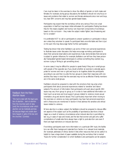Care must be taken in the exercises to show the effects of gender on both males and females. For example, during group discussions, the facilitators should not only focus on issues and problems that relate to women and female adolescents since men and boys, too, have SRH concerns and may face gender-based biases.

Participants may expect that the workshop will be very serious.This is not a bad expectation in itself but may lessen initial enthusiasm for participation.Testing has shown that, for this reason, laughter and humour are important components of workshops based on this curriculum – they make the subject matter 'lighter', less threatening and fun to consider!

It is preferable NOT to call on participants to answer questions or participate in discussion unless they volunteer to speak. If a participant feels uncomfortable and then is 'put on the spot', this may discourage his/her further participation.

Testing has shown that when facilitators use some of their own personal experiences to illustrate issues under discussion, this helps encourage workshop participants to share their personal observations and experiences. It also demonstrates that everyone is subject to gender influences. For example, facilitators can tell how they have personally 'manipulated' gender-based stereotypes to achieve something they wanted (e.g., women crying or flirting to get something done).

In some cases, it may be difficult for people to speak freely if they are in small groups with people of the opposite sex. If you doubt whether an exercise is culturally appropriate for women and men or girls and boys to do together, divide the participants according to sex and then re-unite the two groups to share their responses with one another.Also keep in mind that the exercises may not be as effective if family members are in the same small groups.

Facilitators should be prepared to deal with the emotions that may arise when participants think about personal experiences related to 'sensitive' and 'taboo' subjects.The amount of information that participants will want about specific SRH issues may vary from group to group, so it is wise to have additional information on hand (such as services and local support groups related to violence, incest, sexual orientation, drug and alcohol abuse).This is particularly important when moving to the exercises on violence as many participants may have had personal experience with it. Resources are mentioned in Section 6 that address the sensitive and ethical issues related to violence.

Where abortion is a taboo subject, the facilitators should be prepared to discuss different aspects of the subject such as the possibility of spontaneous abortions (miscarriages) as a result of violence, circumstances when induced abortion is permitted by law (e.g., in cases of rape and incest), and the fact that women and girls who suffer complications of unsafe abortions always have a right to post-abortion care even if there are legal restrictions on induced abortion.

If workshop participants want more information on a particular SRH topic, the facilitators can offer them background materials from Section 4 or relevant local materials (for example, addresses of clinics). Section 6 lists other resources that can be useful. It is helpful to have a large sheet of paper available during the workshop that is marked 'Topics for further consideration' on which facilitators and participants can list subjects

#### *Feedback from the Field— Abortion Issues*

*"We had to deal with the legal question of abortion…look at abortion from the churches' point of view; [and] the circumstances under which abortion can be medically permissible because illegal and unsafe abortions happen in spite of the law and the churches." (Zambia)*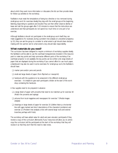about which they want more information or discussion; the list can then provide ideas for follow-up activities to the workshop.

Facilitators must resist the temptations of being too directive or too removed during small-group work for exercises. Ideally, they stay with the small groups at the beginning, listening, responding to questions and doubts.They can then either observe silently or leave and visit the groups again after 5-10 minutes to ensure that the instructions are understood and that participants do not spend too much time on one part of an exercise.

Although facilitators should not participate in the small-group work itself, they can make suggestions. For example, during a problem tree analysis on unwanted pregnancy (p. 51), they can ask the group to consider to what extent a girl should share decisionmaking with her partner and to what extent a boy should take responsibility.

#### **What materials do you need?**

The curriculum has been designed to require a minimum of workshop supplies. Ideally, the facilitators will be able to use the overhead transparencies included in this resource pack to make key points and help summarize different parts of the workshop. If an overhead projector is not available, the key points can be written onto large sheets of paper that are displayed during the workshop. If you cannot afford to use much paper, a blackboard may also be used in some exercises. For small-group work, the facilitators should have:

- ❑ marker pens and/or pens and pencils
- ❑ small and large sheets of paper (from flipcharts or newsprint)
- ❑ handouts with the questions to be answered in the different small-group exercises – it is helpful to give each participant a folder at the start of the workshop containing the handouts.

A few supplies need to be prepared in advance:

- ❑ a large sheet of paper with proverbs that need to be matched up for exercise 1B (Match the proverbs and sayings)
- ❑ pictures from local magazines and newspapers for exercise 7 (Media images analysis)
- ❑ drawings on large sheets of paper for exercise 10 (Lifeline history: a horizontal line with ages marked and short descriptions of the characters' problems) and exercise 12 (Problem tree analysis: a tree with several large roots and several branches, perhaps with fruits).

The workshop will have added value for adult and peer educator participants if they receive a copy of the curriculum afterwards. If your resources will allow you to photocopy the curriculum, tell the participants at the start of the workshop that they will receive it so that they don't feel the need to take notes.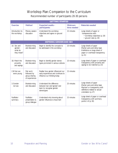# Workshop Plan: Companion to the Curriculum

Recommended number of participants: 20-30 persons

|                                                 | <b>GETTING STARTED</b>                                      |                                                                                                         |                               |                                                                                                                                                   |
|-------------------------------------------------|-------------------------------------------------------------|---------------------------------------------------------------------------------------------------------|-------------------------------|---------------------------------------------------------------------------------------------------------------------------------------------------|
| <b>Exercise</b>                                 | <b>Method</b>                                               | <b>Expected results -</b><br>participants:                                                              | <b>Minimum</b><br>time needed | <b>Materials needed</b>                                                                                                                           |
| Introduction to<br>the workshop                 | Plenary session<br>discussion                               | Understand the workshop<br>objectives and agree on ground<br>rules                                      | 15 minutes                    | -Large sheets of paper or<br>transparencies with:<br>• workshop objectives (p. 18)<br>• ground rules (p. 19)                                      |
|                                                 |                                                             | <b>DEFINING GENDER AND SEX</b>                                                                          |                               |                                                                                                                                                   |
| 1A. Sex and<br>gender:<br>what do<br>they mean? | Brainstorming<br>and discussion                             | Begin to identify the concepts to<br>be addressed in the workshop                                       | 10 minutes                    | -Large sheets of paper<br>-Marker pens and sticky tape<br>-Definitions on large sheet of<br>paper or overhead transparency<br>(p. 21)             |
| 1B. Match the<br>proverbs<br>and sayings        | Brainstorming<br>and discussion                             | Begin to identify gender stereo-<br>types promoted in various cultures                                  | 10 minutes                    | -Large sheet of paper or overhead<br>transparency with proverbs and<br>sayings to be matched (p. 23)                                              |
| 2. When we<br>were young                        | Pair work<br>followed by<br>group sharing<br>of experiences | Realise how gender influenced our<br>early experiences and continues to<br>influence our thinking today | 15 minutes                    |                                                                                                                                                   |
| 3. Gender<br>not sex                            | Brainstorming<br>and discussion                             | Understand the difference<br>between 'sex' and 'gender' and<br>learn to recognise gender<br>stereotypes | 25 minutes                    | -Large sheets of paper<br>-Marker pens and sticky tape<br>-Flipchart or transparency with<br>definitions related to sexual<br>orientation (p. 27) |
| Facilitator<br>summary                          | Facilitator<br>presentation &<br>group dialoque             | Understand why knowing about<br>gender influences is important                                          | 15 minutes                    | -Large sheet of paper or overhead<br>transparency with summary<br>points 1-8 (p. 30)                                                              |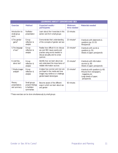|                                         | <b>LEARNING ABOUT GENDER AND SEX</b>                            |                                                                                                                                                          |                               |                                                                                                                              |
|-----------------------------------------|-----------------------------------------------------------------|----------------------------------------------------------------------------------------------------------------------------------------------------------|-------------------------------|------------------------------------------------------------------------------------------------------------------------------|
| <b>Exercise</b>                         | <b>Method</b>                                                   | <b>Expected results -</b><br>participants:                                                                                                               | <b>Minimum</b><br>time needed | <b>Materials needed</b>                                                                                                      |
| Introduction to<br>small-group<br>work  | Facilitator<br>presentation                                     | Learn about the 4 exercises in this<br>section and form small groups                                                                                     | 10 minutes                    |                                                                                                                              |
| 4. The gender<br>$qame*$                | Group<br>reflection &<br>analysis                               | Demonstrate their understanding<br>of the concepts of gender and sex                                                                                     | 25 minutes*                   | -Handouts with statements &<br>questions (pp. 32-33)<br>-Pens/pencils                                                        |
| 5. The language<br>$of$ sex $*$         | Group<br>reflection &<br>analysis                               | Realise how difficult it is to discuss<br>sex and SRH issues openly and<br>practise using words needed to<br>discuss sexuality and its conse-<br>quences | 25 minutes*                   | -Handouts with words &<br>questions (p. 35)<br>-Sheets of paper; pens/pencils                                                |
| 6. Learning<br>about sex $*$            | Group<br>reflection &<br>analysis                               | Identify how we learn about sex<br>and understand the importance of<br>reliable information sources                                                      | 25 minutes*                   | -Handouts with information<br>sources (p. 38)<br>-Sheets of paper; pens/pencils                                              |
| 7. Media images<br>analysis*            | Group<br>reflection &<br>analysis                               | Analyse how women and men are<br>portrayed in the media and how<br>images may reinforce or challenge<br>gender-based stereotypes                         | 25 minutes*                   | -Handouts with questions (p. 40)<br>-Pictures from newspapers,<br>magazines, etc<br>-Large sheets of paper;<br>pens/pencils. |
| Plenary<br>presentations<br>and summary | Small groups<br>present findings<br>& facilitator<br>summarises | Become aware of the different<br>ways in which we learn about sex<br>and gender                                                                          | 60 minutes                    |                                                                                                                              |

\*These exercises can be done simultaneously by small groups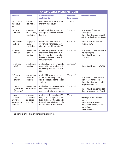|                                                                       | <b>APPLYING GENDER CONCEPTS TO SRH</b>                        |                                                                                                                                                                                            |                               |                                                                                                                                              |
|-----------------------------------------------------------------------|---------------------------------------------------------------|--------------------------------------------------------------------------------------------------------------------------------------------------------------------------------------------|-------------------------------|----------------------------------------------------------------------------------------------------------------------------------------------|
| <b>Exercise</b>                                                       | <b>Method</b>                                                 | <b>Expected results -</b><br>participants:                                                                                                                                                 | <b>Minimum</b><br>time needed | <b>Materials needed</b>                                                                                                                      |
| Introduction to<br>small-group<br>work                                | Facilitator<br>presentation                                   | Learn about the next 6 exercises<br>and form small groups                                                                                                                                  | 5 minutes                     |                                                                                                                                              |
| 8. What is<br>violence?                                               | Small-group<br>work & plenary<br>presentations                | Develop definitions of violence<br>and explore how these relate to<br>their lives                                                                                                          | 30 minutes                    | -Large sheets of paper and<br>marker pens<br>-Handouts or transparencies with<br>definitions of violence (pp. 43-44)                         |
| 9. Experiencing<br>violence                                           | Role-plays and<br>plenary<br>presentations                    | Identify some ways in which<br>women and men mistreat each<br>other and how this can affect SRH                                                                                            | 30 minutes                    | -Handouts with scenarios and<br>questions (p. 46)                                                                                            |
| 10. Lifeline<br>history*                                              | Brainstorming,<br>drawing and<br>discussion                   | Analyse SRH problems that men<br>and women may experience in<br>their lives and the factors that can<br>increase or decrease vulnerability<br>to such problems                             | 30 minutes*                   | -Large sheets of paper with lifeline<br>and marker pens<br>-Handouts with questions<br>$(pp.45-46)$                                          |
| 11. Role-play:<br>why?*                                               | Role-plays and<br>discussion                                  | Analyse situations involving gender<br>norms, relationships and sex and<br>think of ways to reduce possible<br>risks                                                                       | 30 minutes*                   | -Handouts with questions (p. 50)                                                                                                             |
| 12. Problem<br>tree<br>analysis*                                      | Brainstorming,<br>drawing and<br>discussion                   | Analyse SRH problems for an<br>adolescent girl or boy, including<br>causes, consequences and possible<br>solutions                                                                         | 30 minutes*                   | -Large sheets of paper with tree<br>drawing and marker pens<br>-Handouts or transparency with                                                |
| 13. Designing<br>youth-friendly<br>SRH services*                      | Brainstorming<br>and discussion                               | Analyse how SRH services can be<br>made more appropriate and<br>accommodating for young people                                                                                             | 30 minutes*                   | sample answers (p. 53)<br>-Handouts with questions (p. 55)<br>-Sheets of paper and pens/pencils                                              |
| Plenary<br>presentations,<br>summary,<br>conclusion and<br>evaluation | Small-group<br>presentations<br>and facilitator<br>summarises | Analyse specific gender-based SRH<br>risks, situations and problems and<br>begin thinking about possible solu-<br>tions; follow-up activities are brain-<br>stormed and evaluation is done | 90 minutes                    | -Sticky tape to hang up large<br>papers<br>-Handouts with examples of<br>gender-sensitive measures and<br>interventions<br>-Evaluation forms |

\*These exercises can be done simultaneously by small groups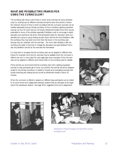### *WHAT ARE POSSIBLE TIME FRAMES FOR USING THE CURRICULUM?*

The workshop plan shows a time frame in which some exercises are done simultaneously (i.e., small groups do different exercises during the same time period). It shows the minimum amount of time in which we believe that the curriculum exercises can be handled adequately during a full-day workshop (9 hours including a 'getting acquainted exercise', an hour for lunch and two 20-minute refreshment breaks). More time may be preferable for some of the activities, especially if facilitators wish to encourage in-depth discussion, but experience has shown that participants' desire for discussion varies considerably from group to group. Testing has also shown that the first time facilitators offer the workshop, they may need more time than that shown in the workshop plan because they are unfamiliar with the exercises – the more often facilitators offer the workshop, the easier it becomes to manage the discussions and give feedback.That is also why facilitators should do the exercises first themselves!

It is important to recognise that the workshop plan can be adapted to different time frames. For example, more time for exercises may be available when the curriculum is offered over two or more days.The next pages give some examples of how the exercises can be adapted to different time frames (refer to the workshop plan for details).

If time permits, we recommend that the workshop start with a 'getting acquainted exercise' so that participants get to know one another; this exercise should be designed locally. For the full-day workshop, it is helpful to include some 'energising' exercises that include stretching and walking around as well as refreshment breaks of about 20 minutes.

When the curriculum is offered in sessions on different days, participants can be invited to do some 'home-work' assignments between sessions that are discussed at the beginning of the subsequent sessions. See page 58 for suggested home-work assignments.









*Participants in Kosovo, Malaysia and South Africa during small-group work*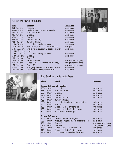

### Full-day Workshop (9 hours)

| Time                | <b>Activity</b>                                 | Done with                 |
|---------------------|-------------------------------------------------|---------------------------|
| $8:00 - 8:15$ a.m.  | Introduction                                    | entire group              |
| $8:15 - 8:35$ a.m.  | 'Getting to know one another' exercise          | entire group              |
| $8:35 - 8:45$ a.m.  | Exercise 1A or 1B                               | entire group              |
| $8:45 - 9:00$ a.m.  | Exercise 2                                      | entire group              |
| $9:00 - 9:25$ a.m.  | Exercise 3                                      | entire group              |
| $9:25 - 9:40$ a.m.  | Facilitator summary                             | entire group              |
| $9:40 - 10:00$ a.m. | Refreshment break                               | entire group              |
| 10:00 - 10:10 a.m   | Introduction to small-group work                | entire group              |
| 10:10 - 10:35 a.m.  | Exercises 4, 5, 6 and 7 done simultaneously     | small groups              |
| 10:35 - 11:35 a.m.  | Small-group presentations & facilitator summary | entire group              |
| 11:35 - 12:35 p.m.  | Lunch                                           |                           |
| 12:35 - 12:40 p.m.  | Introduction to small-group work                | entire group              |
| 12:40 - 1:10 p.m.   | Exercise 8                                      | entire group              |
| $1:10 - 1:40$ p.m.  | Exercise 9                                      |                           |
| $1:40 - 2:00$ p.m.  | Refreshment break                               | small groups/entire group |
| 2:00 - 2:30 p.m.    | Exercises 10, 11 and 12 done simultaneously     | small groups/entire group |
| 2:30 - 3:00 p.m.    | Exercise 13                                     | small groups/entire group |
| 3:00 - 4:30 p.m.    | Small-group presentations & facilitator summary | entire group              |
| 4:30 - 5:00 p.m     | Conclusion and completion of evaluation         | entire group              |
|                     |                                                 |                           |



Two Sessions on Separate Days **Time Activity Activity** *Done with* **Session 1 (3 hours, 5 minutes)** 6:00 - 6:15 p.m. Introduction entire group 6:15 - 6:25 p.m. Exercise 1A or 1B entire group 6:25 - 6:40 p.m. Exercise 2 entire group 6:40 - 7:05 p.m. Exercise 3 entire group 7:05 - 7:20 p.m. Facilitator summary entire group 7:20 - 7:30 p.m. Refreshment break 7:30 - 7:40 p.m. Introduction 'Learning about gender and sex' entire group 7:40 - 8:05 p.m. Exercise 4 entire group 8:05 - 8:30 p.m. Exercises 5-7 done simultaneously small groups 8:30 - 9:00 p.m. Plenary presentations/facilitator summary entire group 9:00 - 9:05 p.m. Home-work assignments given entire entire group **Session 2 (3 hours)** 6:00 - 6:30 p.m. Review of home-work assignments entire group 6:30 - 6:40 p.m. Introduction 'Applying gender concepts to SRH' entire group 6:40 - 7:10 p.m. Exercise 8 small groups/entire group 7:10 - 7:40 p.m. Exercise 9 small groups/entire group 7:40 - 8:10 p.m. Exercises 10-13 done simultaneously small groups 8:10 - 8:45 p.m. Plenary presentations/facilitator summary entire group 8:45 - 9:00 p.m. Conclusion and completion of evaluation entire group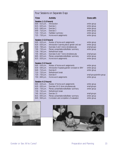#### Four Sessions on Separate Days **Time Activity Activity Done with Session 1 (1.5 hours)** 6:00 - 6:15 p.m. Introduction entire group 6:15 - 6:25 p.m. Exercise 1 entire group 6:25 - 6:40 p.m. Exercise 2 entire group 6:40 - 7:10 p.m. Exercise 3 entire group 7:10 - 7:25 p.m. Facilitator summary entire group 7:25 - 7:30 p.m. Home-work assignments entire group **Session 2 (2.5 hours)** 6:00 - 6:20 p.m. Review of home-work assignments entire group<br>6:20 - 6:30 p.m. Introduction 'Learning about gender and sex' entire group 6:20 - 6:30 p.m. Introduction 'Learning about gender and sex' 6:30 - 7:00 p.m. Exercises 4 and 5 done simultaneously small groups 7:00 - 7:30 p.m. Plenary presentations/facilitator summary entire group 7:30 - 7:45 p.m. Refreshment break 7:45 - 8:05 p.m. Exercises 6 and 7 done simultaneously small groups 8:05 - 8:25 p.m. Plenary presentations/facilitator summary entire group 8:25 - 8:30 p.m. Home-work assignments entire entire group **Session 3 (2 hours)** 6:00 - 6:30 p.m. Review of home-work assignments entire group 6:30 - 6:40 p.m. Introduction 'Applying gender concepts to SRH' entire group 6:40 - 7:10 p.m. Exercise 8 entire group 7:10 - 7:20 p.m. Refreshment break 7:20 - 7:50 p.m. Exercise 9 small groups/entire group 7:50 - 8:00 p.m. Home-work assignments entire group

#### **Session 4 (3 hours)**

| 6:00 - 6:20 p.m.   | Review of home-work assignments           | entire group |
|--------------------|-------------------------------------------|--------------|
| $6:20 - 6:50$ p.m. | Exercises 10-12 done simultaneously       | small groups |
| $6:50 - 7:30$ p.m. | Plenary presentations/facilitator summary | entire group |
| 7:30 - 7:45 p.m.   | Refreshment break                         |              |
| 7:45 - 8:15 p.m.   | Exercise 13                               | small groups |
| 8:15 - 8:45 p.m.   | Plenary presentations/facilitator summary | entire group |
| 8:45 - 9:00 p.m.   | Conclusion and completion of evaluation   | entire group |



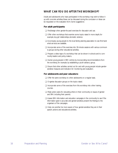### *WHAT CAN YOU DO AFTER THE WORKSHOP?*

Adults and adolescents who have participated in this workshop may wish to follow it up with concrete activities; these can be discussed during the conclusion or ideas can be requested on the evaluation form. Some suggestions:

#### **For adult participants:**

- ❑ Find/design other gender-focused exercises for discussion and use.
- ❑ Offer other workshops that examine some topics raised in more depth, for example, boy-girl relationships, domestic violence.
- ❑ Accompany young people to the local family planning association to see first-hand what services are available.
- ❑ Incorporate some of the exercises into 30-minute sessions with various community groups during other educational activities.
- ❑ Prepare a video-tape of a workshop that can be shown in schools and to community leaders and policy-makers.
- ❑ Involve young people in SRH centres by incorporating recommendations from the workshop, for example, by establishing a youth advisory group.
- ❑ Ensure that other activities carried out for and with young people include gendersensitive measures and indicators for monitoring and evaluation.

#### **For adolescents and peer educators:**

- ❑ Offer the same workshop to other adolescents on a regular basis.
- ❑ Organise discussion groups on the topics raised.
- ❑ Incorporate some of the exercises from this workshop into other training courses.
- ❑ Make action plans for educating others in their community on issues of gender and SRH, including their parents.
- ❑ Assess SRH information and education campaigns in the community to see if the information given is accurate and gender-sensitive; present the findings to the organisers of the campaigns.
- ❑ Help one another be more aware of how gender-sensitive they are in their speech, actions and educational activities.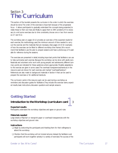# Section 3: **The Curriculum**

This section of the booklet presents the curriculum in the order in which the exercises should be done.The order of the exercises is important because of the progressive focus – it allows participants to gradually understand the concepts being presented, to relate these to their own lives and finally to apply them to SRH problems. If it is necessary to omit some exercises due to time constraints, choose one or two from exercises 4-7 and 9-12.

The workshop plan on pages 10-12 provides an overview of the expected results for each exercise, the methodology used, the minimum amount of time needed to carry out the exercise and the materials that are necessary. (See pages 14-15 for examples of how the exercises can be fitted to different workshop time frames.) We recommend that facilitators use the plan to prepare sessions and have a photocopy of it available for reference during the sessions.

The exercises are presented in detail, including important points that facilitators can use to help summarise each exercise. Because the workshop can be done with adults (professionals and volunteers who work with young people) and adolescents, different summary points are indicated for these audiences where appropriate. Possible adaptations to the exercise are given in some cases.The overhead transparencies/handouts in the resource pack are shown for each exercise, and marked "overhead/handout.". References are also made to background materials in Section 4 that can be used to prepare the exercises or for additional handouts.

The curriculum cards in this resource pack can be used during a workshop as reminders and discussion guides for facilitators.They include: the exercise name, expected results, basic instructions, discussion questions and sample answers.

# **Getting Started**

# **Introduction to the Workshop (curriculum card )** *1*

#### **Expected results**

Participants understand the workshop objectives and agree on ground rules

#### **Materials needed**

Large sheets of flipchart or newsprint paper or overhead transparencies with the workshop objectives and ground rules

#### **Instructions**

- ❑ Begin by welcoming the participants and thanking them for their willingness to attend the workshop.
- ❑ Mention that this workshop will not include lectures. Instead, the facilitators and participants will work together actively in a variety of exercises.The success of the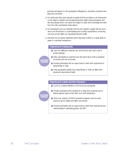exercises will depend on the participants' willingness to voluntarily contribute their ideas and comments.

- ❑ For adults and older peer educators: explain that the workshop is an introduction to the subject of gender and sexual/reproductive health. Invite participants who feel they already know a lot about the subject to share their knowledge and learn from the other participants' observations.
- ❑ For participants who are unfamiliar with the term 'gender': explain that the workshop is an introduction to understanding how society's expectations concerning men and women affect our sexual/reproductive health.
- ❑ Introduce the workshop objectives which have been written on a large sheet of paper or overhead transparency:



- Come to a shared definition of the terms sex and gender
- Provide participants with experience in using some practical tools to address gender issues in their SRH work with adolescents
- Show how violence, HIV/STIs, unwanted pregnancy and its consequences may be related and affect one another
	- Provide participants with an opportunity to share their experiences and methodologies in addressing gender and SRH

**overhead/ handout**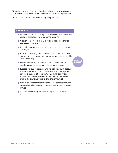- ❑ Introduce the ground rules, which have been written on a large sheet of paper or an overhead transparency, and ask whether the participants can agree to them.
- ❑ Ask the participants if they want to add any new ground rules.

#### **Ground Rules**

- Facilitators will not call on participants to answer questions unless several people have raised their hands and wish to contribute.
- A person does not need to answer questions during the workshop if s/he feels uncomfortable.
- Listen with respect to every person's opinion even if you don't agree with him/her.
- Speak in 'I' statements (I think…, I believe…, I like/dislike…, etc.) rather than 'you' statements (You are wrong when you say that…; you shouldn't think that way, etc.).
- Respect confidentiality if someone shares something personal don't repeat it outside the room in a way that can identify him/her.
- Put aside our fears of expressing what we really think and feel about a subject; there are no correct or incorrect answers – each person's personal experience is true for him/her.We should acknowledge, however, that some experiences may have been harmful to those involved (for example, suffering violence or discrimination).
- Agree to allow the use of 'sensitive' or 'taboo' words and terms during the workshop; when we talk about sexuality, we may need to use such phrases.
- Come back from small-group work and any refreshment breaks on time!

### **overhead/ handout**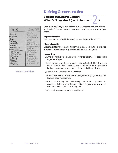# **Defining Gender and Sex** \_\_\_\_\_\_\_\_\_\_\_\_\_\_\_\_\_\_\_\_\_\_\_\_\_\_\_\_\_\_\_\_\_\_\_\_\_\_\_\_\_\_\_\_\_\_\_\_

## **Exercise 1A: Sex and Gender: What Do They Mean? (curriculum card )**

This exercise should only be done if the majority of participants are familiar with the word gender. If this is not the case, do exercise 1B – Match the proverbs and sayings – instead. *2*

#### **Expected results**

Participants begin to distinguish the concepts to be addressed in the workshop

#### **Materials needed**

Large sheets of flipchart or newsprint paper, marker pens and sticky tape, a large sheet of paper or overhead transparency with the definitions of sex and gender

#### **Instructions**

- ❑ Write the word 'sex' as a column heading in the top left corner of a blackboard or large sheet of paper.
- $\Box$  Ask the group to say what other words they think of or the first thing that comes to mind when they hear the word 'sex'. Stress that these can be synonyms for sex but that they may also say taboo words in the context of this workshop.
- ❑ Write their answers underneath the word sex.
- ❑ If participants are shy or embarrassed, encourage them by giving a few examples (pleasure, taboo, intimacy, breasts).
- ❑ Next write the word 'gender' towards the right-hand corner to begin a new column on the blackboard or sheet of paper and ask the group to say what words they think of when they hear the word 'gender'.
- ❑ Write their answers underneath the word 'gender'.

| SF X                                                                                                                                                                              | GENTER                                                                                                                                                                                                              |
|-----------------------------------------------------------------------------------------------------------------------------------------------------------------------------------|---------------------------------------------------------------------------------------------------------------------------------------------------------------------------------------------------------------------|
| tantric<br>exciting<br>40n<br>Diology<br>Confusing<br>Creative<br>procreate<br>drugs & vockfrall<br>povasive<br>intercourse<br>genitatia<br>stearny<br>taboo.<br>pornes<br>Orgasm | Spetal<br>differences<br>male (emale<br>voles<br><b>DE WANTON</b><br>Let constructive<br><b>Churlistanis</b><br>nuttive<br>fromulad)<br>perspective<br>Cultural<br>identity<br>limitations.<br>FUNIMER<br>common by |

*Sample list from a field-test*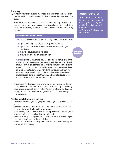#### **Summary**

- ❑ If the participants have given mostly physical (biological, genetic) associations for 'sex' and social concepts for 'gender', compliment them on their knowledge of the terms.
- ❑ Hand out the workshop definitions of 'sex' and 'gender' to the participants and also use the overhead transparency or a large sheet of paper with the definitions on the wall. Read through the definitions and ask if the participants need anything explained.

#### **Definitions of Sex and Gender**

**Sex** refers to physiological attributes that identify a person as male or female:

- type of genital organs (penis, testicles, vagina, womb, breasts)
- type of predominant hormones circulating in the body (oestrogen, testosterone)
- ability to produce sperm or ova (eggs)
- ability to give birth and breastfeed children.

**Gender** refers to widely shared ideas and expectations (norms) concerning women and men.These include ideas about 'typically' feminine or female and masculine or male characteristics and abilities and commonly shared expectations about how women and men should behave in various situations.These ideas and expectations are learned from: family, friends, opinion leaders, religious and cultural institutions, schools, the workplace, advertising and the media.They reflect and influence the different roles, social status, economic and political power of women and men in society.

❑ If anyone asks about dictionary definitions of sex and gender, point out that dictionary definitions tend to define sex and gender in a similar way; we are talking about a social-science definition of the term 'gender'. (See the sample definitions on pages 61-62) in Section 4; note that you can also use definitions from your local dictionaries.)

#### **Possible adaptation of the exercise**

- ❑ Ask the participants to gather in groups of 3 persons; give each group a sheet of paper.
- ❑ Ask the participants to spend 5 minutes writing down words and phrases that come to mind when they think of 'sex' and 'gender'.
- ❑ Next ask the groups to take 5 minutes to make up definitions of 'sex' and 'gender' based on what they have written down for each word.
- ❑ Ask some of the groups to present their definitions to the entire group and point out similarities and differences in the definitions.
- ❑ Present the definitions of 'sex' and 'gender' that will be used in the workshop and proceed with the summary.

#### *Feedback from the Field—*

*"Some participants mentioned that they had never thought of separating sex from gender since they always considered these to be part of the same thing." (XI Congress on Sexology and Sex Education, Peru)*

**overhead/ handout**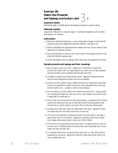## **Exercise 1B: Match the Proverbs and Sayings (curriculum card )** *3*

#### **Expected results**

Participants begin to identify gender stereotypes promoted in various cultures

#### **Materials needed**

Large sheet of flipchart or newsprint paper or overhead transparency with proverbs and sayings to be matched

#### **Instructions**

- ❑ Show the overhead transparency or post a large sheet of paper on the wall with popular proverbs and sayings that have been divided in half (see p. 23).
- ❑ Tell the participants the sayings have been divided and now the two halves of each saying are not matched correctly.
- $\Box$  Ask the participants to match up the correct halves of the sayings and then to say what they think the sayings mean.
- ❑ Tell the participants what the sayings mean if they have not guessed this correctly.

#### **Sample proverbs and sayings and their meanings**

- ❑ Men are gold, women are cloth—saying from Cambodia: this means that women, like a white cloth, are easily soiled by sex while men can have repeated sexual encounters and be polished clean like gold each time
- ❑ Husbands of ugly women always wake scared—saying from Brazil: this means that men think badly about women who are not beautiful
- ❑ Women are like a duiker's dung—Bemba proverb from Zambia: this means that women are as plentiful as duiker's dung; if your wife misbehaves, throw her away and find another one – a duiker is a kind of small antelope
- ❑ He who listens to women suffers from famine at harvest time—Tonga proverb from Zambia: this means one must not put too much weight on women's words; it might lead to trouble later on
- ❑ Men are like cars and women are like parking spaces—expression from an Asian country: this means that men can choose their partners (parking spaces) while women have no choice (anyone can park in them as they are a fixed space)
- ❑ Husbands who help their wives are called slave of the wife—saying from India: this means that men who help women are not 'real men'
- ❑ The kind of love between a husband and wife in the early days of marriage is absent after the birth of children—saying from India: this means that romantic love changes when parents have to take care of their children
- $\Box$  If the hours are long enough and the pay is short enough, someone will say it's women's work—Swahili proverb: this means that women generally have to work harder and earn less than men
- ❑ It is believed that women are governed by weak 'stars' so they often become possessed by evil spirits—saying from India: this means that women tend to be more unstable than men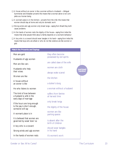- ❑ A house without an owner is like a woman without a husband —bilingual Summerian and Akkadian proverb: this means that a woman alone is not complete as a human being
- ❑ A woman's place is in the kitchen—proverb from the USA: this means that women should stay at home and only do domestic work
- ❑ Strong winds and ugly women only break twigs—saying from Brazil: they both cause problems
- ❑ In the hands of women rests the dignity of the house—saying from India: this means that what people think about a family depends on a woman's behaviour
- ❑ A boy who is a coward should wear bangles in his hand—saying from India: this means that boys who are afraid or who do not like violence are like women or girls

| <b>Match the Proverbs and Sayings</b>                                         |                                                |
|-------------------------------------------------------------------------------|------------------------------------------------|
| Men are gold                                                                  | they often become<br>possessed by evil spirits |
| Husbands of ugly women                                                        |                                                |
| Men are like cars                                                             | are called slave of the wife                   |
| Husbands who help                                                             | women are cloth                                |
| their wives                                                                   | always wake scared                             |
| Women are like                                                                | the kitchen                                    |
| A house without<br>an owner is like                                           | a duiker's dung                                |
| He who listens to women                                                       | a woman without a husband                      |
| The kind of love between<br>a husband & wife in the<br>early days of marriage | suffers from famine<br>at harvest time         |
| If the hours are long enough                                                  | only break twigs                               |
| & the pay is short enough,<br>someone will say                                | the dignity of the house                       |
|                                                                               | women are like                                 |
| A woman's place is in                                                         | parking spaces                                 |
| It is believed that women are<br>governed by weak 'stars' so                  | is absent after the<br>birth of children       |
| A boy who is a coward                                                         |                                                |
| Strong winds and ugly women                                                   | should wear bangles<br>in his hand             |
| In the hands of women rests                                                   | it's women's work                              |

**overhead/ handout**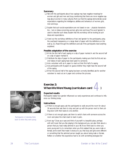#### **Summary**

- ❑ Talk with the participants about how sayings may have negative meanings for women and girls and men and boys, mentioning that there are more negative sayings about women in many cultures. Point out that the sayings demonstrate social expectations regarding the intelligence, abilities and behaviours of women, girls, men and boys.
- ❑ Explain that such social expectations are not based on sex physical characteristics – but on ideas concerning women, girls, men and boys.The word 'gender' is used to describe such ideas. Explain that this workshop will be looking at such ideas and expectations.
- ❑ Hand out the workshop definitions of 'sex' and 'gender' to the participants, using the overhead transparency or a large sheet of paper with the definitions on the wall (p. 21). Read through the definitions and ask if the participants need anything explained.

#### **Possible adaptation of the exercise**

- ❑ Write the first half of each saying on a slip of paper marked A and the second half on a slip of paper marked B.
- ❑ Distribute the slips of paper to the participants, making sure that the first and second halves of each saying have been given to someone.
- ❑ Ask a volunteer with an A paper to read out their first half of a saying.
- ❑ Ask participants with B papers to guess whether they might have the second half of the saying.
- ❑ When the second half of the saying has been correctly identified, ask for another volunteer to read out an A paper and continue the process.

## **Exercise 2: When We Were Young (curriculum card )** *4*



#### **Expected results**

Participants realise how gender influenced our early experiences and continues to influence our thinking today

#### **Instructions**

- ❑ If there is enough space, ask the participants to walk around the room for about 30 seconds; then ask them to stop and pair up with the person next to them, sitting down with their backs to one another.
- ❑ If there is not enough space, ask them to switch chairs with someone across the room and place the chairs back to back in pairs.
- ❑ Next say:"Close your eyes and think of yourself in a beautiful place, perhaps with soft music that you like playing in the background; you can also think about a person that you have really admired in your life. Now think back to when you were young and try to remember when you first realised that you were male or female, some event that made it obvious to you that boys and girls were different or something that the admired person taught you about being male or female. Reflect on whether this experience had to do with something biological (for



*Participants in Colombia think back to when they were young*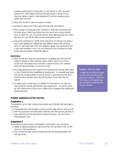example, experiencing first menstruation or wet dreams) or with comments/ reactions from other people (what boys and girls should or should not do). Was your memory a good or bad experience? Or did the experience seem neither good nor bad?"

- ❑ Allow them to think in silence for about 3 minutes.
- ❑ Ask them to share some of their early memories with their partners.
- ❑ After a couple of minutes, ask a few volunteers to share their experiences with the entire group, mentioning whether they were good, bad or neutral (neither good nor bad). If no one in the group wants to share right away, give some examples from your own life; this often prompts participants to share.
- ❑ Discuss the experiences to identify which ones had to do with sex (e.g., seeing a boy's or girl's genitals and realising they were different, having a first menstrual period or wet dream) and which were related to gender (e.g., activities that boys or girls were forbidden to do). If no one mentioned a story involving sex characteristics, give an example of what that might be.

#### **Summary**

- ❑ Point out that even when early experiences in recognising one's own sex were related to biology, we often really learn about what it means to be a man or woman from the reactions and comments of people around us (for example, being told that menstruation is 'a woman's curse').
- ❑ Encourage adolescents to look beyond the boundaries that may have been placed on them if these limit their possibilities for development – for example, boys being told that the nursing profession is only for women or girls being told they don't need secondary education since they will only stay at home when they are married.
- ❑ For adults: point out that many of us disliked the limits placed on us when we were young (for example, girls shouldn't play rough sports) – we should remember such experiences so that we don't reinforce such messages when dealing with adolescents today.

#### **Possible adaptations of the exercise**

#### **Adaptation 1**

This adaptation can be used in places where people are not familiar with participatory workshops.

- ❑ If participants feel uncomfortable choosing a partner, assign them to pairs yourself.
- ❑ After the participants have shared their memories with their partners, ask them to share what their partners said without naming the partner – this can be less embarrassing for them.

#### **Adaptation 2**

When there are equal numbers of participants of both sexes in your workshop:

- ❑ Instead of asking participants to walk around the room, ask them to pair up with someone of the opposite sex.
- ❑ Then continue the basic exercise as described, with the participants sitting with their eyes closed.

#### *Feedback from the Field—*

*"It helped the participants to appreciate that each and every human being knows what sex…she/he has from infancy and the gender roles each one starts to undertake from that age." (Malawi)*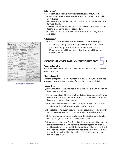| ale.                                                                                                |                                                         |                                                                                                                        |
|-----------------------------------------------------------------------------------------------------|---------------------------------------------------------|------------------------------------------------------------------------------------------------------------------------|
| <i>FUM</i><br><b>H</b> & CVID, Should<br>strong                                                     | work and bodycal<br><b>Professional</b><br><b>SDØTW</b> | COLTIME<br><b>District</b> we<br>etrus<br>Contifice<br><b>Mitch</b><br>Valbe<br><b>City</b> MI                         |
| FPCh.<br>active<br>in sensitive.<br>bes<br>Treer despt real                                         | V S DJ<br>panis<br>phyrical<br><b>FRANKDWOR</b>         | <b>Wairi</b><br>east bral<br><b>MURLEUX</b><br>introdictable.                                                          |
| stoic<br><b>POWE</b><br><b><i><u>PETERS TRE</u></i></b>                                             | <b>SOLOUVILLE</b><br>pleak Pregnant-                    | Infurtive<br><b>Bitter/profastian</b><br>suuton<br>1 physiologic change, has mind                                      |
| violent<br>Gubbain<br><b>NEETWA</b>                                                                 | <b>PLOTOGICA</b><br>In period from                      | Why in adult<br>Fille<br>Endirector<br>REPORTUGAL                                                                      |
| byene rolective<br>Roney<br>HOWB4.<br>Lind ask directions.<br><b>KAN: CANYMINTACOTT-W</b><br>497.18 |                                                         | <b>WILDA</b><br>personality.<br>Paricky.<br>Suleet<br><b>Volvedak</b><br>おめきさしいの<br>POSSIBLISTIC FUN<br>Dissant, built |

*An example from field-testing*

### **Adaptation 3**

When there are equal numbers of participants of both sexes in your workshop:

- ❑ Group all the men or boys in an outside circle and group the women and girls in an inside circle.
- ❑ Play some music and ask the inner circle to walk to the right and the outer circle to walk to the left.
- ❑ Stop the music and ask the inner circle to face the outer circle.Then ask the participants to pair up with a person opposite them.
- ❑ Continue the basic exercise as described, with the participants sitting with their eyes closed.

### **Adaptation 4**

- ❑ Carry out the exercise as described and add the following discussion questions:
	- 1.Are there any advantages and disadvantages to being born female or male?
	- 2. If there are advantages or disadvantages for either sex, why do these differences exist and which ones have to do with sex and which ones have to do with gender?

# **Exercise 3: Gender Not Sex (curriculum card )**

#### **Expected results**

Participants understand the difference between 'sex' and 'gender' and learn to recognise gender stereotypes *5*

#### **Materials needed**

Large sheets of flipchart or newsprint paper, marker pens and sticky tape, a large sheet of paper or overhead transparency with definitions related to sexual orientation

#### **Instructions**

- ❑ Make three columns on a large sheet of paper. Label the first column 'Woman' and leave the other two blank.
- ❑ Ask participants to identify personality traits, abilities and roles ('attributes') that are often associated with women; these may include stereotypes prevalent in the participants' communities or their own ideas.
- ❑ Next label the third column 'Man' and ask participants to again make a list of personality traits, abilities and roles that are often associated with men.
- ❑ If participants do not give any negative or positive traits, abilities or roles for either sex, add some to ensure that both columns include positive and negative words.
- $\Box$  If the participants do not mention any biological characteristics (such as breasts, beard, penis, vagina, menopause), add some to the two columns.
- ❑ Now reverse the headings of the first and third columns by writing Man above the first column and Woman above the third column.Working down the list, ask the participants whether men can exhibit the characteristics and behaviours attributed to women and whether women can exhibit those attributed to men.Those attributes usually not considered interchangeable are placed into the middle column that is then labelled 'Sex'.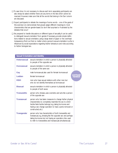- ❑ To save time, it is not necessary to discuss each term separately; participants can also simply be asked whether there are any terms in the lists which cannot be reversed. However, make sure that all the words that belong in the 'Sex' column are discussed.
- $\Box$  Expect participants to debate the meanings of some words one of the goals of this exercise is to demonstrate that people assign different meanings to most characteristics that are gender-based. So don't feel surprised or frustrated by the debates that occur!
- ❑ Be prepared to handle discussions on different types of sexuality. It can be useful to distinguish 'sexual orientation' from gender. If necessary, provide simple definitions related to sexual orientation, using a large sheet of paper or the overhead transparency. Point out that no matter what a person's sexual orientation is, s/he is influenced by social expectations regarding his/her behaviours and roles according to his/her biological sex.

| <b>Sexual Orientation and Identity</b>                                                                                                                                                                                                                                |                                                                                                                                                                                                                                                                 |                      |  |  |
|-----------------------------------------------------------------------------------------------------------------------------------------------------------------------------------------------------------------------------------------------------------------------|-----------------------------------------------------------------------------------------------------------------------------------------------------------------------------------------------------------------------------------------------------------------|----------------------|--|--|
| <b>Heterosexual</b>                                                                                                                                                                                                                                                   | sexual orientation in which a person is physically attracted<br>to people of the opposite sex                                                                                                                                                                   |                      |  |  |
| Homosexual                                                                                                                                                                                                                                                            | sexual orientation in which a person is physically attracted<br>to people of the same sex                                                                                                                                                                       |                      |  |  |
| Gay                                                                                                                                                                                                                                                                   | male homosexual: also used for female homosexual                                                                                                                                                                                                                |                      |  |  |
| Lesbian                                                                                                                                                                                                                                                               | female homosexual                                                                                                                                                                                                                                               | overhead/<br>handout |  |  |
| <b>MSM</b>                                                                                                                                                                                                                                                            | men who have sexual relations with other men but<br>who do not identify themselves as homosexual                                                                                                                                                                |                      |  |  |
| <b>Bisexual</b>                                                                                                                                                                                                                                                       | sexual orientation in which a person is physically attracted<br>to people of both sexes                                                                                                                                                                         |                      |  |  |
| <b>Transvestite</b><br>person who dresses, uses cosmetics and acts like a person<br>of the opposite sex                                                                                                                                                               |                                                                                                                                                                                                                                                                 |                      |  |  |
| <b>Transsexual</b>                                                                                                                                                                                                                                                    | person who has taken measures to change his/her physical<br>characteristics to completely resemble the sex to which<br>he/she feels he/she belongs (e.g., taking hormones and<br>having a sex change operation to have a penis removed or<br>constructed, etc.) |                      |  |  |
| <b>Transgender</b><br>person who has characteristics of both transvestite and<br>transsexual, e.g., dressing like the opposite sex and perhaps<br>taking hormones but not having an operation. Also used<br>to refer to transvestites and transsexuals simultaneously |                                                                                                                                                                                                                                                                 |                      |  |  |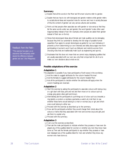#### **Summary**

- ❑ Explain that all the words in the 'Man' and 'Woman' columns refer to gender.
- $\Box$  Explain that sex has to do with biological and genetic matters while gender refers to social/cultural ideas and expected roles for women and men in society. Because of this, the content of gender can vary across cultures and societies.
- ❑ Point out that people often associate sex with gender or vice-versa so that they list the same words under sex and gender; the word 'gender' is also often used inappropriately instead of 'sex' (for example, when people are asked their gender instead of their sex on forms).
- ❑ Stress that stereotyped ideas about female and male qualities can be damaging because they limit our potential to develop the full range of possible human capacities. If we agree to accept stereotypes as guides for our own behaviour, it prevents us from determining our own interests and skills, discourages men from participating in 'women's work' (such as childcare) and restricts women from choosing roles that are traditionally 'male' (such as engineering and sports).
- $\Box$  Emphasise that this does not mean that we cannot enjoy displaying qualities that are usually associated with our own sex, only that is important for all of us to make our own decisions about what we do.

#### **Possible adaptations of the exercise**

#### **Adaptation 1**

This adaptation is possible if you have participants of both sexes in the workshop.

- ❑ Ask the males to suggest attributes for the column headed 'Woman'.
- ❑ Ask the females to suggest attributes for the column headed 'Man'.
- ❑ Ask all the participants to decide whether the attributes still apply when the column headings are reversed.

#### **Adaptation 2**

- $\Box$  Start the exercise by asking the participants to associate colours with being a boy or a girl: start with blue, pink and red and then move on to colours such as orange, grey, green, silver, gold and brown.
- ❑ Alternatively, ask the participants to pull things out of a box such as a bracelet, a ring, lipstick, a condom, a necklace, spectacles, a watch, etc.Ask them to say whether these items would belong to a man or woman, boy or girl, and which ones could belong to either sex.
- ❑ Proceed with the exercise as described up to the summary.
- ❑ Now ask the participants whether they would change their minds about the colours or items that they associated with men and women, boys and girls, and ask them to explain why.
- ❑ Proceed with the summary.

#### **Adaptation 3**

- ❑ Carry out the exercise as described.
- ❑ Then ask the male participants to indicate whether they possess or have ever displayed any of the qualities listed for women or whether any men they know have done so.Then ask the female participants to say whether they possess or have ever displayed any of the qualities listed for men and whether they know any women who have done so.

*Feedback from the Field— "This exercise has given us an assurance that everybody understands the difference between gender and sex." (the Philippines)*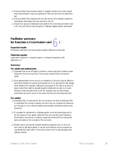- ❑ Discuss whether they received positive or negative reactions from other people when they behaved in ways not expected for their sex and how this made them feel.
- ❑ Discuss whether they respected the men and women who behaved outside the usual 'gender stereotypes' and why they did or did not.
- ❑ Discuss how groups of adolescents and adults in the community can make it easier for men and women, boys and girls, to challenge negative gender stereotypes.

### **Facilitator summary for Exercises 1-3 (curriculum card )**

#### **Expected results**

Participants understand why knowing about gender influences is important. *6*

#### **Materials needed**

Large sheet of flipchart or newsprint paper or overhead transparency with statements 1-8

#### **Summary**

#### **For adults and adolescents:**

- ❑ Emphasise that we are all taught to behave in certain ways and to believe certain things from the time we are born.This process continues when we become adults.
- ❑ Some gender-based norms can put us in situations of risk and it may be difficult to avoid those situations. However, young people can try to get adults to help change those situations (for example, making sure young girls do not have to go alone to places where they might be sexually abused).Adolescents can also try to avoid behaviours that may place them at risk (for example, boys can avoid having unprotected sex just to prove to their peers that they are becoming 'real men').

#### **For adults:**

- ❑ Emphasise that it is important for all of us working in the area of adolescent SRH to understand the concept of gender and know how we ourselves are influenced by it through our own cultures, traditions and prejudice, sometimes without even knowing it.
- ❑ It is possible for adolescents to challenge gender norms and stereotypes and to be more aware of how gender influences their own and their peers' behaviour. What helps in this process is creating a supportive environment by training their peers and adults on the concepts in this curriculum.
- ❑ Mention that to incorporate a gender-sensitive perspective into our work, we don't need to talk about gender or use the word itself; we can, for example, discuss 'female and male roles' or 'men's and women's work' to get discussions and reflection started.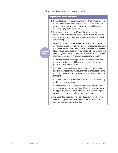❑ Discuss the following statements with the participants:

#### **Important Points to Remember**

- 1. Gender has to do with relationships, not only between men and women but also among women and among men. For example: mothers teach daughters not to contradict men; fathers teach sons 'not to act like women' by crying when they are hurt.
- 2. A quick way to remember the difference between sex and gender is that sex is biological and gender is social.This means that the term sex refers to innate characteristics, while gender roles are learned gradually and can change.
- 3. Technology can affect how we view gender. For example, in the past women could breastfeed infants; now boys and girls can help feed infants with bottles. Machines have made it possible for both sexes to do heavy labour; medical technologies have made it possible for sex characteristics to be changed.The content of 'gender' can change for groups of women and men, girls and boys, with time; individuals can change sexually.
- 4. Gender does not only apply to people who are heterosexual: it affects people who are heterosexual, bisexual, homosexual or lesbian and people who choose to abstain from sex.
- 5. Men and women can manipulate gender-based ideas and behaviours for their own benefit, presumably without harming anyone but at the same time reinforcing stereotypes (e.g., women crying or flirting to get something done).
- 6. It is difficult to be 100% gender-sensitive; we are almost all influenced by gender in our ideas and actions.
- 7. Gender sensitivity does not mean that we no longer recognise differences between men and women. Some differences remain because of biology; we may choose to retain others even in equal relationships (for example, men opening doors for women to be polite).
- 8. To incorporate a gender-sensitive perspective in our lives, we don't need to talk about 'gender' itself but can refer to male and female roles or men's and women's work, for example.

**overhead/ handout**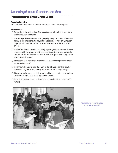# Learning About Gender and Sex

### **Introduction to Small-Group Work**

#### **Expected results**

Participants learn about the four exercises in this section and form small groups

- ❑ Explain that in the next section of the workshop, we will explore how we learn and talk about sex and gender.
- ❑ Divide the participants into four small groups by having them count off a number from 1 to 4. Remember that it may not be a good idea to have family members or people who might be uncomfortable with one another in the same small groups.
- ❑ Mention the different exercises very briefly, explaining that each group will receive a handout with instructions for their exercise and questions to be answered. Say that you will give additional explanations to each small group concerning their particular exercise if needed.
- ❑ Ask each group to nominate a person who will report to the plenary feedback session on their behalf.
- ❑ Have the small groups present their work in the following order:The Gender Game,The Language of Sex, Learning about Sex and Media Images Analysis.
- ❑ After each small group presents their work, end their presentation by highlighting the important points in the summary for their exercise.
- ❑ Each group presentation and facilitator summary should take no more than 15 minutes.



*Young people in Nigeria debate about gender and SRH*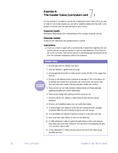### **Exercise 4: The Gender Game (curriculum card )**

*7*

For this exercise it is possible to use the list of statements shown below [6]. If you wish to make it more locally relevant, you can add or substitute statements that refer to the situation of women and men, girls and boys, in your country.

#### **Expected results**

Participants demonstrate their understanding of the concepts of gender and sex

#### **Materials needed**

Handouts with statements and questions, pens or pencils

#### **Instructions**

❑ Hand out a sheet of paper with a numbered list of statements regarding men and women and ask one group member to read out each statement. (Note that the list on the curriculum card has the answers in parentheses; give participants the list from the overhead transparency without the answers!).

#### **Gender Game**

|  |  |  |  |  | 1. Women give birth to children; men don't. |  |  |
|--|--|--|--|--|---------------------------------------------|--|--|
|--|--|--|--|--|---------------------------------------------|--|--|

- 2. Girls are delicate or gentle; boys are tough.
- 3. Among agricultural workers in India, women receive 40-60% of the wages that men do.
- 4. Women in sub-Saharan Africa contribute an average of 70% of the labour for household and market food production, yet rural women are poorer than men and have lower levels of literacy, education, health and nutrition.
- 5. Many women do not make decisions independently and freely, especially regarding sexuality and couple relationships.
- 6. Men's voices change with puberty, women's voices do not.
- 7. Women's risk for HIV infection is determined by their partners' sexual behaviour.
- 8. Women can breastfeed babies, men can bottle-feed babies.
- 9. In ancient Egypt, men stayed at home and did weaving.Women managed household affairs.Women inherited property and men did not.
- 10. In Great Britain, the majority of people working in construction are men.
- 11. Men must have male children to carry on the family line.
- 12. In 1999, adolescent males in Uganda thought having a child could enhance their status and prove their manhood:"We are fond of impregnating the girls." "It is normal to have a child."
- 13. Of the estimated 6-7 million persons around the world who inject drugs, four-fifths are men.

#### **overhead/ handout**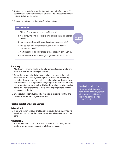- ❑ Ask the group to write 'G' beside the statements they think refer to gender,'S' beside the statements they think refer to sex, and 'G and S' beside the statements that refer to both gender and sex.
- ❑ Then ask the participants to discuss the following questions:

#### **Gender Game**

- 1. Did any of the statements surprise you? If so, why?
- 2. Why do you think that gender roles differ among societies and historical periods?
- 3. How does age interact with gender to determine our social roles?
- 4. How do these gender-based roles influence men's and women's experience of sexuality?
- 5. What are some of the disadvantages of gender-based roles for women?
- 6. What are some of the disadvantages of gender-based roles for men?

#### **Summary**

- ❑ After the group presents their list to the other participants, discuss whether any statements were marked inappropriately and why.
- ❑ Explain that the inequalities between men and women shown by these statements can also affect sexuality. For example, when women are economically dependent, they may be reluctant to insist on safer sex because they fear losing financial support from their partners.When young men feel pressured into taking risks to show they are 'manly', such as drinking a lot or taking drugs, they may lose control over themselves and end up more quickly forgetting to use a condom, endangering their health.
- ❑ Emphasise that gender influences differ from place to place and over time.This means that they can be changed in all societies.

#### **Possible adaptations of the exercise**

#### **Adaptation 1**

 $\Box$  If you have enough handouts for all the participants, ask them to mark them individually and then compare their answers as a group before answering the questions.

#### **Adaptation 2**

❑ Post the statements on a flipchart and ask the entire group to classify them as gender or sex and discuss the questions with the entire group.

#### *Feedback from the Field—*

**overhead/ handout**

> *"There was a lively discussion of some sensitive statements, especially about freedom of decision-making and women being weak, men strong." (Tanzania)*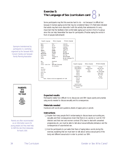# **Exercise 5: The Language of Sex (curriculum card )** *8*

Some participants may find this exercise hard to do – not because it is difficult but because it involves saying words that may be considered 'taboo' [7]. Field-tests indicated that adults may feel more discomfort with this activity than adolescents. It is very important that the facilitators feel comfortable saying such words in front of a group since this can help 'desensitise' the issue for participants. (Practise saying the words in front of people beforehand!)





*Synonyms brainstormed by participants in a workshop organized by the Sarawak AIDS Concern Society and Sarawak Family Planning Association*

*Parents are often recommended as an information source for young people, but they need help to fulfil this role (from Advocates for Youth, USA)*

#### **Expected results**

Participants realise how difficult it is to discuss sex and SRH issues openly and practise using words needed to discuss sexuality and its consequences

#### **Materials needed**

Handouts with words and questions, sheets of paper, pens or pencils

- ❑ Explain that many people find it embarrassing to discuss issues surrounding sex, sexuality and their consequences. Given that there is no vaccine or cure for HIV infection and that men and women contract STIs, have to deal with unwanted pregnancies, etc., we must be able to talk about sexual attitudes, behaviour and the consequences of unprotected sex.
- ❑ Ask the participants to put aside their fears of saying taboo words during this exercise, explaining that we must learn to talk about various sexual parts of the body and different sexual acts in order to protect our SRH.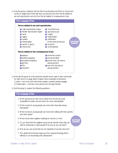❑ Give the group a handout with the lists of words below.Ask them to choose two words (or assign them if they feel shy): one should come from the list related to sex and reproduction and one from the list related to consequences of sex.



- ❑ Next ask the group to write synonyms (similar terms) used in their community for each word on a large sheet of paper. (Some examples of synonyms: 1) penis = tool, cock, prick, instrument, weapon, revolver, banana, sausage; 2) menstruation = woman's curse, period, sick, red days, friends.)
- ❑ Ask the group to answer the following questions:

### 1. Which synonyms for each word chosen from the list are most acceptable for 'public' use and which are most unacceptable? 2. Which words do young people use most when they talk among themselves? 3. Which words do young people use most when talking with their parents and other adults? 4. Which words have negative meanings for women or men? 5. Do you think that the negative words can be harmful when they are used to embarrass or insult people? If so, why do you use them? 6. Why do you use words that are not respectful of women and men? 7. (For adults) What barriers keep you from using terminology that is effective in communicating with adolescents? **The Language of Sex overhead/ handout**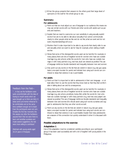❑ When the group presents their answers to the others, post their large sheet of synonyms on the wall for the whole group to see.

#### **Summary**

#### **For adolescents**

- ❑ Point out that we must adjust our use of language to our audience; this means we may use certain words with our friends and other words with adults such as parents and teachers.
- ❑ Explain that we need to overcome our own sensitivity in using sexually explicit words if we are to be able to talk about sexuality. If we cannot communicate clearly to other people what we like and do not like, what we want and do not want, misunderstandings will occur.
- $\Box$  Mention that it is also important to be able to say words that clearly refer to sex and sexuality when we want to ask for help, for example, when visiting a health worker.
- ❑ Stress that some of the disrespectful words used can be harmful. For example, in many places, there are lots of 'negative' words for women who have sex outside marriage (e.g., slut, whore), while the words for men who have sex outside marriage or with many partners (e.g., real man, stud) are viewed as positive.This use of language reinforces 'double standards' and inequality between men and women.
- $\Box$  Also point out any words on the list that are violent in nature (e.g., bat, gun, spear, baton, one-eyed monster for penis) and indicate how using such words can contribute to ideas that violence in sex is permissible.

#### **For adults**

- $\Box$  Point out that it is important to talk to adolescents in their own language or at least allow them to use the words that they know best so that they feel comfortable in talking about sex and its consequences.
- ❑ Stress that some of the disrespectful words used can be harmful. For example, in many places, there are lots of 'negative' words for women who have sex outside marriage (e.g., slut, whore, prostitute, tramp, fish), while the words for men who have sex outside marriage or with many partners (e.g., real man, stud, player) are viewed as positive.This use of language reinforces 'double standards' and inequality between men and women.We should avoid using such words ourselves and suggest to adolescents that they use other words as well.
- ❑ Point out any words on the list that are violent in nature (e.g., bat, gun, spear, baton, one-eyed monster for penis) and indicate how using such words can contribute to ideas that violence in sex is permissible. Explain that many adolescents are unaware of this connection but quickly understand it when it is discussed with them.

#### **Possible adaptations to the exercise**

#### **Adaptation 1**

Use of this adaptation must be considered carefully according to your participant group. It has been used successfully and with a lot of laughter with young adults in the Philippines.

#### *Feedback from the Field—*

*"…in fact, we the facilitators were quite uncomfortable with the idea of having to mouth words which we were brought up to think are 'dirty'. It takes some pre-mental rehearsal to be comfortable and at the same time confident enough not to blush. Even the participants were not comfortable the first few moments into this session, but after the facilitators assured them that we were there to learn and sensitise ourselves and made several suggestions, the rest were more willing to contribute."*

*(field-test with young adults aged 16-24 years in Malaysia)*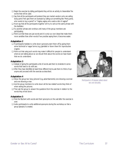- ❑ Begin the exercise by telling participants they will do an activity to 'desensitise' the words that will be used.
- $\square$  Say that all the participants will pretend they are market vendors who are selling body parts.Then give them an example by calling out something like:"Penis, penis, who wants to buy a penis?" or "Vagina, vagina, who wants a kilo of vagina?"
- ❑ Next say that all the participants together will try to call out the same phrase with the facilitator.
- ❑ Try another phrase and continue until many of the group members are participating.
- ❑ Point out that these are just words and it is only our own ideas that make them more sensitive than other words. If we practise saying them, it becomes easier.

#### **Adaptation 2**

- $\Box$  If participants hesitate to write down synonyms, start them off by giving them some 'technical' or 'vague' terms (e.g.,'genitalia' or 'down there' for reproductive organs).
- ❑ Point out that using such words may make it difficult for people to understand what we are talking about so we should think about the words we have heard that we do understand.

#### **Adaptation 3**

- ❑ Instead of giving the participants a list of words, ask them to brainstorm some words that have to do with sex.
- ❑ After they have identified at least three different terms, ask them to think of synonyms and proceed with the exercise as described.

#### **Adaptation 4**

- ❑ Show the group two 'sexy pictures' (e.g., advertisements), one showing a woman and one showing a man.
- ❑ Ask the group members to write down all the 'sex-related' words they think of when seeing the pictures.
- ❑ Then ask the group to answer the questions from the exercise in relation to the words they wrote down.

#### **Adaptation 5**

- ❑ Post the flipchart with words and their synonyms on the wall after the exercise is over.
- ❑ Invite participants to write additional synonyms during the workshop so that a group 'glossary' is created.



*Participants in Malaysia talked about sex and sexuality*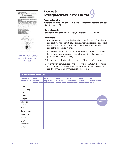#### What you always wanted to know about **BOYS GROWING UP**



*Information needs to be clear and specific (from FFPAM, Malaysia)*

# **Exercise 6: Learning About Sex (curriculum card )** *9*

#### **Expected results**

Participants identify how we learn about sex and understand the importance of reliable information sources [8]

#### **Materials needed**

Handouts with table of information sources, sheets of paper, pens or pencils

- ❑ Ask the group to discuss what they learned about sex from each of the following sources of information: parents, other family members, friends, religion, schools and teachers, music,TV and radio, advertising, books, personal experience, other sources (watching animals, Internet).
- ❑ Tell them to think of specific topics about which they learned, for example, puberty, oral sex, anal sex, masturbation, beliefs such as sex is bad outside marriage or you can go blind from masturbating.
- ❑ Then ask them to fill in the table on the handout (shown below) as a group
- ❑ After they have done this, ask them to decide what the best source(s) of information should be for female and male adolescents in their community to learn about sexuality.Tell them to explain the reasons for their choices.

|                          | <b>What I Learned About Sex</b>        |                         |                                                    |                                            |                                      |                                    |
|--------------------------|----------------------------------------|-------------------------|----------------------------------------------------|--------------------------------------------|--------------------------------------|------------------------------------|
| Source of<br>information | <b>Most</b><br>positive<br>information | <b>Most</b><br>negative | <b>Most</b><br>accurate<br>information information | <b>Most</b><br>'believable'<br>information | <b>Most</b><br>useful<br>information | <b>No</b><br>information<br>at all |
| Parents                  |                                        |                         |                                                    |                                            |                                      |                                    |
| Other family<br>members  |                                        |                         |                                                    |                                            |                                      |                                    |
| Friends                  |                                        |                         |                                                    |                                            |                                      |                                    |
| Religion                 |                                        |                         |                                                    |                                            |                                      | overhead/                          |
| Schools &<br>teachers    |                                        |                         |                                                    |                                            |                                      | handout                            |
| Music                    |                                        |                         |                                                    |                                            |                                      |                                    |
| TV and radio             |                                        |                         |                                                    |                                            |                                      |                                    |
| Advertising              |                                        |                         |                                                    |                                            |                                      |                                    |
| <b>Books</b>             |                                        |                         |                                                    |                                            |                                      |                                    |
| Own<br>experience        |                                        |                         |                                                    |                                            |                                      |                                    |
| Other                    |                                        |                         |                                                    |                                            |                                      |                                    |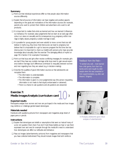#### **Summary**

- ❑ Point out that individual experiences differ so that people value information sources differently.
- ❑ Explain that all sources of information can have negative and positive aspects depending on the goals and motivations of the information sources (for example, parents who want to protect their children and advertisers who want to sell products).
- ❑ It is important to realise that what we learned and how we learned it influences our behaviour. For example, value judgements that we learn at an early age often colour our views on sexuality and its consequences (e.g., pregnancy within marriage is highly valued, pregnancy outside marriage is bad).
- ❑ It is possible for young people (and even adults!) to know correct facts but still believe in myths (e.g., they know that intercourse can lead to pregnancy but believe that it is impossible for a girl to become pregnant the first time she has intercourse). It is important to check our beliefs with persons who have accurate knowledge about sexuality. (See the exercise 'The damaging effects of myths' on page 78 in Section 5 for examples if necessary.)
- ❑ Point out that boys and girls often receive conflicting messages, for example, girls are bad if they have sex outside marriage while boys need to gain sexual experience before marriage. Such differences contribute to inequality between women and men regarding how they are valued (e.g., in decision-making).
- ❑ Describe the qualities of good information sources so that adolescents can recognise them:
	- The information is understandable.
	- The information is complete.
	- The information is given in a non-judgemental way (the person requesting information is not made to feel stupid, embarrassed or ashamed).
	- There is a chance to ask questions and all questions are answered.

# **Exercise 7: Media Images Analysis (curriculum card )** *10*

#### **Expected results**

Participants analyse how women and men are portrayed in the media and how images may reinforce or challenge gender-based stereotypes

#### **Materials needed**

Handouts with questions; pictures from newspapers and magazines, large sheet of paper, pens or pencils

#### **Instructions**

- ❑ Explain that stereotypes are beliefs or assumptions that seem so 'natural' many of us do not question them. Even if we don't hold these beliefs, we hear or see them expressed over and over, for example through the media.We need to understand how stereotypes can affect our attitudes and behaviour.
- ❑ Pass out images (advertisements, cartoons) from magazines and newspapers that you have collected beforehand.They should include images that both reinforce

#### *Feedback from the Field—*

*"It worked very well…most learned from child games, from their husbands; some were taught by older people when this was unwanted or from experimentation, e.g. after wet dreams." (Nigeria)*



*In Malaysia, adolescents gave critical analyses of advertisements*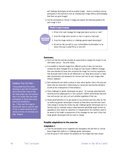and challenge stereotypes, as well as positive images – there is a tendency among participants in this exercise to end up criticising each image without acknowledging that there are good images!

❑ Ask the participants to choose 3 images and answer the following questions for each image in turn:

#### **Media Images Analysis**

- 1. What is the main message the image gives about women or men?
- 2. Does the image show women or men in a good or bad way?
- 3. Does the image reinforce or challenge gender-based stereotypes?
- 4. Would you like yourself (or your mother/father, brother/sister) to be shown this way in public? Why or why not?

#### **Summary**

**overhead/ handout**

- ❑ Point out that this exercise provides an opportunity to analyse the impact of one information source – the print media.
- ❑ It is possible to interpret images from different points of view; not everyone receives the same 'message' from an image; we may receive a different message than was intended by those who produced the image.The common experience that all people share is that we are influenced in our ideas about 'proper' or 'desirable' characteristics and behaviours for women and men by such images, often without realising it.
- ❑ Both adolescents and adults continue to learn about gender roles in this way and these roles are important in determining our sexual and reproductive behaviour as well as the consequences of that behaviour.
- ❑ Many challenges to gender stereotypes are good for example, advertisements showing women playing sports or men caring for children demonstrate that both men and women can carry out such activities regardless of their sex.
- ❑ Media advertisements try to get people to buy products and they often do this by reinforcing gender stereotypes. However, as ideas about women's and men's roles change in society, the media may also challenge gender stereotypes but in a harmful way. For example, tobacco advertisements specifically target women by appealing to their desire for 'adventure' or 'independence'.We therefore need to be aware of the health consequences of the messages we see, even if they challenge gender stereotypes that we want to change.

#### **Possible adaptations to the exercise**

#### **Adaptation 1**

- ❑ Give the participants some magazines and newspapers and ask them to choose three images that reinforce or challenge gender stereotypes.
- ❑ Ask the group to then answer the questions for the images they have chosen.

#### *Feedback from the Field—*

*"Young people found the activity interesting. It gave them the opportunity to [focus] their minds on how the media project men and women's roles in the society.There was active participation as almost every young person had something to say…[They] used the images to express their views on what the roles of men or women should be, and if women and men can exchange such roles." (Nigeria)*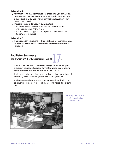#### **Adaptation 2**

- ❑ After the group has answered the questions for each image, ask them whether the images could have shown either a man or a woman in that situation – for example, could an ad showing a woman carrying a baby have shown a man carrying a baby instead?
- ❑ Then ask the group to discuss the following questions:
	- 1. Should men and women have certain roles that cannot be shared by the opposite sex? Why or why not?
	- 2.What would need to happen to make it possible for men and women to exchange or share roles?

#### **Adaptation 3**

❑ If your organisation has access to a television and video equipment, show some TV advertisements for analysis instead of taking images from magazines and newspapers.

### **Facilitator Summary for Exercises 4-7 (curriculum card )**

- ❑ These exercises have shown that messages about gender and sex are given through numerous channels, including channels that we recognise as teaching sources and others in our everyday lives that are less obvious. *17*
- ❑ It is important that adolescents be aware that they sometimes receive incorrect information, so they should seek guidance from knowledgeable adults.
- ❑ We have also realised that, when we discuss sexuality and SRH, it is important to be comfortable talking about sex openly and we should not be afraid of being direct.



*Workshop participants in the Phillipines had fun while learning!*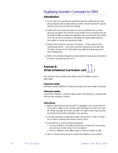# **Applying Gender Concepts to SRH** \_\_\_\_\_\_\_\_\_\_\_\_\_\_\_\_\_\_\_\_\_\_\_\_\_\_\_\_\_\_\_\_\_\_\_\_\_\_\_\_\_\_\_\_\_\_\_\_

### **Introduction**

- ❑ For the next set of exercises, the participants should be divided into five small groups using the same counting method as before (this will hopefully mix people around so they can work with other people).
- ❑ Explain that in the previous exercises we came to understand how we learn about sex and gender from the time we are children and we examined how gender influences affect our ideas and expectations about women's and men's behaviour. In the next set of exercises, we will analyse how gender-based ideas and norms affect our sexual and reproductive health.
- ❑ Mention that the first two exercises in this section 'What is violence?' and 'Experiencing Violence' – will be done by all the small groups at the same time. The other exercises (10-13) will be split among different small groups and be done simultaneously.
- ❑ Refer to the overhead transparency 'Gender-sensitive measures and interventions' for ideas in discussing exercises 10-12.

# **Exercise 8: What is Violence? (curriculum card )** *11*

Since violence is such a sensitive issue, please review the facilitator notes on page 8 again.

#### **Expected results**

Participants develop definitions of violence and explore how these relate to their lives

#### **Materials needed**

Large sheets of flipchart or newsprint paper, marker pens, handouts or overhead transparencies with examples of violence

- ❑ Begin by saying that during the exercise 'The language of sex', we saw that some words used in relation to sex can have violent meanings or be used to hurt people verbally (see page 36).Violence can affect our health in other ways as well, so we will discuss this problem separately in two exercises.
- ❑ Give each small group a large sheet of paper and ask them to make up a definition of violence, reflecting what violence means to them.
- ❑ Next ask them to discuss the following questions:
	- 1. Does your definition cover different experiences of violence for women, girls, men and boys (in other words, in terms of gender)?
	- 2. Does your definition cover different types of violence in relation to age?
- ❑ After 15 minutes, ask the groups to present their definitions to one another.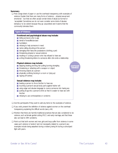#### **Summary**

❑ Post a large sheet of paper or use the overhead transparency with examples of violence. Explain that there are many forms of violence – physical, sexual and emotional – but that we often accept certain kinds of abuse as 'normal' or 'acceptable'. Sometimes we do not even consider some kinds of abusive behaviour to be violent because they go unpunished and it seems that the community tolerates them.

#### **Types of Violence**

#### **Emotional and psychological abuse may include:**

- telling someone s/he is ugly
- denial of love/affection/sex
- humiliation
- refusing to help someone in need
- name-calling, shouting at the person
- damaging their favourite possessions (clothing, a pet)
- threatening physical or sexual violence
- insulting or cursing a person who has refused to have sex
- writing threatening letters to someone after s/he ends a relationship

#### **Physical violence may include:**

- slapping, beating, pinching, hair pulling, burning, strangling
- threatening or attacking with a weapon or object
- throwing objects at a person
- physically confining (locking in a room or tying up)
- ripping off clothes

#### **Sexual violence may include:**

- beating a person to force him/her to have sex
- touching a person's sexual body parts against his/her will
- using vulgar and abusive language to coerce someone into having sex
- putting drugs into a person's drink so that it is easier to have sex with him/her
- refusing to use contraceptives or condoms
- ❑ Ask the participants if they want to add any items to the examples of violence.
- ❑ If you wish, present the definition of violence against women on the overhead transparency, explaining the difficult words (see p. 44).
- ❑ Mention that there are harmful traditional practices that are also considered to be violence, such as female genital cutting (FGC) and early marriage, and that these also can lead to SRH problems.
- ❑ Point out that both women and men, girls and boys, suffer from violence. In some cases, such violence is 'random' and not necessarily related to a person's sex; examples include being assaulted during a robbery, being hit during a schoolyard fight with peers.

**overhead/ handout**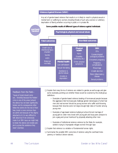

#### *Feedback from the Field—*

*"Issues of incest should come out…forcefully because this 'hidden' crime is one of the areas [where] the silence has not been significantly broken and its consequences often follow the victims for the rest of their lives. Incest is more common than we admit and because of the stigma attached to it, it is very difficult to talk about but if we consciously make it an SRH issue, we might help to break the silence and enable people to access the assistance they need." (Zambia)*

- ❑ Explain that many forms of violence are related to gender, as well as age, and give some examples, pointing out whether these would be covered by the small-group definitions
	- Examples of gender-based violence: beating of homosexual people because the aggressors feel homosexuals challenge gender stereotypes of what 'real men and real women' should be; young women who suffer acid-throwing because their dowries were not large enough; high rates of murder among young men
	- Examples of age-based violence: bullying at school; forced marriage of young girls to older men; incest with young girls and boys; peer pressure to join a gang and prove 'manhood' by physically attacking other men
	- Examples of institutional violence: violence by the State, for example, soldiers trying to impregnate refugee women through rape
- ❑ Explain that violence is a violation of fundamental human rights.
- ❑ Summarise the possible SRH outcomes of violence using the overhead transparency or handout (shown above).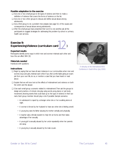#### **Possible adaptation to the exercise**

- ❑ Ask one or two small groups to list types of violence and then to make a definition of violence that covers the forms of violence on the list.
- ❑ Ask one or two other groups to discuss and define sexual abuse among adolescents.
- ❑ Ask a third group to do a problem tree analysis (see page 51) of the causes and consequences of sexual abuse among adolescents.
- ❑ After the small groups have presented their work to one another, ask all the participants to suggest strategies for addressing this problem by school or primary health care services.

# **Exercise 9: Experiencing Violence (curriculum card )** *12*

#### **Expected results**

Participants identify some ways in which men and women mistreat each other and how this can affect SRH [9]

#### **Materials needed**

Handouts with questions

- ❑ Begin by saying that we have all seen instances in our communities when men and women, boys and girls, mistreat each other. If you feel comfortable giving an example from your own life, do so, or mention a case that you have heard or read about.
- ❑ Explain that we will now look at the effects of mistreatment and violence on both the victim and the abuser.
- ❑ Give each small group a scenario related to mistreatment.Then ask the groups to design and practice a 3-minute role-play using words, song, dance or just body movement, showing events that could lead up to the type of violence in their scenario. Each group member should play a role if possible. Sample scenarios:
	- An adolescent is raped by a stranger when she or he is walking alone at night.
	- A woman is forced by her husband to have sex when she is feeling unwell.
	- A young boy sees his father abusing his mother verbally and physically.
	- A teacher asks a female student to help him at home and then takes advantage of her sexually.
	- A young girl is sexually abused by her uncle repeatedly when her parents are away.
	- A young boy is sexually abused by his male cousin.



*A role-play at the International AIDS Conference in South Africa (July 2000)*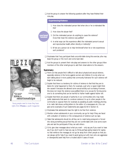$\Box$  Ask the group to answer the following questions after they have finished their role-play.

|                      | <b>Experiencing Violence</b>                                                                                                         |
|----------------------|--------------------------------------------------------------------------------------------------------------------------------------|
|                      | 1. How does the mistreated person feel when she or he is mistreated like<br>this?                                                    |
|                      | 2. How does the abuser feel?                                                                                                         |
| overhead/<br>handout | 3. Did the mistreated person do anything to cause the violence?<br>Does that mean the violence was justified?                        |
|                      | 4. In what ways can this experience affect the mistreated person's sexual<br>and reproductive health, either directly or indirectly? |
|                      | 5. What can a person do to help him/herself when he or she experiences<br>such problems?                                             |

- ❑ Emphasise that if any participant feels uncomfortable doing this exercise, s/he may leave the group or the room and come back later.
- ❑ Ask the groups to present their role-plays and answers to the other groups.Allow members of the other small groups to add their observations to the answers.

#### **Summary**

- ❑ Point out that people find it difficult to talk about physical and sexual violence, especially violence in the home against women and children. It is only when we start talking about it more publicly that community 'tolerance' for such violence will begin to be reduced.
- ❑ Explain that there is a tendency for victims of violence to feel that they are to blame for what happened to them. For example, a girl who is raped might think she caused it because she allowed some sexual activity such as kissing. However, this does not mean the violence was justified; there is no excuse for forcing someone to do something that can be harmful to his/her health against his/her will.
- $\Box$  Explain that there are people of authority in our communities who may make public statements that seem to condone violence; it is up to other people in the community to oppose them, for example, by speaking at public meetings, phoning in to radio talk shows, writing letters to the editor of a newspaper, etc. (You can give some examples of such statements; see pages 62-64 in Section 4).
- ❑ Emphasise that adolescents have the right to be free from violence.
- ❑ Mention where adolescents in your community can go for help if they are faced with a situation of violence or the consequences of violence such as rape.
- ❑ State that adolescents should do all they can to resist being pressured or forced into doing something sexual that they are not comfortable with. Give some examples and ask the participants if they can add others:
- ❑ Girls: give clear messages about what you want only say yes if you want to have sex; if you don't want to have sex, say no firmly, perhaps giving reasons for saying no that reinforce the message; do not go far away from other people so that you can always call for help if you need it; avoid going out with men who are aggressive or disrespectful; seek help from a trusted adult in cases of incest



*Young people need to know they have rights (from Mezzo, a youth magazine)*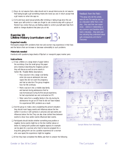- ❑ Girls and boys: avoid sexual activity after drinking or taking drugs since this can lessen your self-control or make you forget to use condoms; stay with a group of
	- friends if you notice that you are feeling unable to control yourself; seek help from adults to change situations that place you at risk.

# **Exercise 10: Lifeline History (curriculum card )** *13*

a girl means no when she says no.

#### **Expected results**

Participants analyse SRH problems that men and women may experience in their lives and the factors that can increase or decrease vulnerability to such problems

❑ Boys: do not assume that a date should end in sexual intercourse; do not assume that having bought a girl something means she 'owes' you sex in return; accept that

#### **Materials needed**

Handouts with questions, large sheets of flipchart or newsprint paper, marker pens

#### **Instructions**

- ❑ Draw a lifeline on a large sheet of paper before the workshop. Give the small group this paper and a handout describing the imaginary person they will discuss as well as some events in his/her life. Possible lifeline descriptions:
	- Mary was born into a large rural family; when she was an adolescent, she was raped. She did not want the pregnancy and had an abortion.The group imagines how her life continues.
	- Pedro was born into a middle-class family and learned during adolescence that he was homosexual. During his first sexual experience, he had unprotected sex and contracted an STI.
	- Peter came from a wealthy family in the city; during his adolescence he got an STI that he did not have treated. He experienced SRH problems as a result.
- ❑ Ask the group to make a story explaining the person's situation: they should mark happy events and influences above the line (either in words or with symbols or pictures) and sad events and influences below the line.They can also draw dotted lines between events to show how earlier events influenced later events.
- ❑ Participants should decide whether something was positive or negative. Some events might be on the line (neither above or below it), having both positive and negative aspects.An example can be given: for a woman who tried to become pregnant for a long time, giving birth can be a positive experience; for a woman who was raped, the experience might be negative.
- ❑ When they have completed the lifeline, ask them to answer the following

### *Feedback from the Field—*

*"The group who did this activity were all men.The exercise was run as a discussion rather than a roleplay…they used their own experiences – violence in relationships is very common (and therefore didn't need a role-play)….they were positive, indicating they understood about guilt, consequences, and shame." (Tanzania)*





*Sample lifelines from field-testing*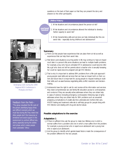questions on the back of their paper so that they can present the story and answers to the other participants.

#### **Lifeline History**

1. What situations and circumstances placed the person at risk?

**overhead/ handout**

- 2. What situations and circumstances allowed the individual to develop his/her capacity to avoid risk?
- 3. What characteristics, skills and services can help individuals like this one avoid risks – especially during childhood and adolescence?

#### **Summary**

- ❑ Point out that people have experiences that can place them at risk as well as experiences that can help them avoid risks.
- ❑ Risk factors and situations occurring earlier in life may continue to have an impact much later in a person's life; some situations can lead to multiple health problems. For example, a boy who has an untreated STI in adolescence could become infertile; a girl who does not tell her parents about a teacher who is sexually harassing her could be raped, become pregnant and get HIV infection.
- ❑ That is why it is important to address SRH problems from a 'life-cycle approach': young people need skills and services that can have an impact both on their current and future lives. It is important for young people to request training to build their skills, such as assertiveness, negotiating skills, conflict resolution and decisionmaking.
- ❑ Adolescents have the right to ask for and receive all the information and services they need: comprehensive sex and family life education; access to contraceptives and condoms if they are sexually active; addresses where they can obtain help in cases of violence (including emergency contraception following rape of girls); addresses where they can obtain help for SRH problems such as unwanted pregnancy, complications of unsafe abortion, antenatal and mother-child care, HIV/STI testing and treatment; referrals to self-help groups for people living with HIV infection and dealing with drug and alcohol abuse.

#### **Possible adaptations to the exercise**

#### **Adaptation 1**

- ❑ If there is sufficient time, ask the group to make two lifelines: one in which a woman suffers from a problem and one in which a man suffers from the problem. For example: a young woman who is raped as an adolescent and a young man who is raped as an adolescent.
- ❑ Ask the group to identify which gender-based factors made the consequences of the problem different for the two people.





*Small-group work during the 1999 Regional AIDS Conferences in Malaysia and Brazil*

*Feedback from the Field— "The group visualised the life cycle of the person, identifying happy times and difficult moments which we must face during life.They noted that often people don't find resources or emotional and social support in the environment to confront difficult situations, especially during the adolescent phase, which makes people more vulnerable." (Peru)*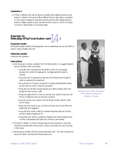#### **Adaptation 2**

❑ If there is sufficient time, ask the group to identify which significant persons were present or absent in the person's life at different times to give advice, counselling or other types of assistance. Examples could be: parents, older siblings, friends, a teacher, a religious leader, a youth outreach worker, a nurse or doctor, an employer, an NGO staff-member, a community leader.

### **Exercise 11: Role-play: Why? (curriculum card )**



#### **Expected results**

Participants analyse situations involving gender norms, relationships and sex and think of ways to reduce possible risks [10]

#### **Materials needed**

Handouts with questions

- $\Box$  Ask the group to choose a situation from the following list or to suggest situations that are relevant in their community:
	- Young girl who is pressured by her family to marry at a young age; because she is under the legal age for marriage, parental consent is required
	- Young man who is pressured to have sex by his friends even though he wants to postpone this experience
	- Young woman of 13 years is pressured to undergo female genital cutting but she does not want to have the procedure
	- Young girl who has been sexually abused as a child; a wealthy older man tempts her with money or gifts
	- Young man approached in a bar by a woman who wants to have sex with him; he is willing but does not have any condoms
	- •Young sex worker who wants to use the female condom with her client but he refuses
	- •Young man who wants to use a condom but fears loss of trust within the relationship if he suggests it
	- Young wife who wants a child; her husband frequently visits sex workers and she is afraid of getting an STI
	- Young bride who wants to postpone pregnancy but whose husband does not like contraceptives that 'take time' (condoms, spermicides)
- ❑ Ask them to design a 3-minute role-play using words, song, dance or just body movement, that describes what words or actions could lead up to sex occurring in their scene.
- $\Box$  Tell the group members that they should each take roles the main character, the person(s) she/he must deal with, friends, parents, etc.



*Participants at the 2000 International AIDS Conference explored risk situations in role-plays*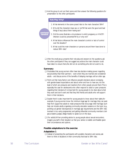❑ Ask the group to act out their scene and then answer the following questions for presentation to the other participants:

#### **Role-Play: Why?**

- 1. What elements in the scene posed risks to the main characters' SRH?
- 2. Why did the characters have sex or not? What were the good and bad things (if any) about them having sex?
- 3. Did the scene illustrate a circumstance in which pregnancy or HIV/STI infection could be prevented? Why or why not?
- 4. What factors influenced the main character's control or lack of control over the situation?
- 5. What could the main characters or persons around them have done to reduce SRH risks?
- ❑ After the small group presents their role-play and answers to the questions, ask the other participants if they can suggest any actions the main character could have taken to ensure that s/he did not do something s/he did not want to do.

#### **Summary**

**overhead/ handout**

- ❑ Emphasise that young women often have less decision-making power regarding sexual activity than their partners – even when they are married and considered adults – and discuss some of the benefits of delaying marriage until an older age.
- ❑ Point out that many factors can influence people's decisions about complying with gender-based expectations and about when and how to have sex, not the least of which are pressures and reactions from other people around them.This is especially the case for adolescents who often respond to adult or peer pressures regarding their decisions. It is important for young people to be clear about what they want and don't want and that they find friends and adults who will support them in their decisions.
- ❑ Explain that it is also important for young people to know about their rights; for example, if young women know the minimum legal age for marriage, they can seek help from supportive adults to resist pressures that encourage child marriage. Such help can include adults organising community education sessions on the topic (e.g., pointing out gender discrepancies in marriage age requirements and the SRH risks involved in too early pregnancies) and getting influential community members (religious leaders, judges, village heads) to speak out on the issue.
- ❑ (For adults):When providing advice to young people about sexual encounters, imagine yourself in their situation so that your advice is realistic and feasible given their circumstances and options.

#### **Possible adaptations to the exercise**

#### **Adaptation 1**

❑ Instead of presenting the participants with possible characters and scenes, ask them to think of situations in their community that lead to SRH risks.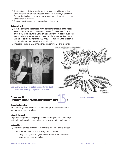- ❑ Next ask them to design a role-play about one situation, explaining why they chose that scene (for example, it happens often in the community, it is the most frequent situation faced by young women or young men, it is a situation that concerns the community most).
- ❑ Then ask them to answer the other questions in the exercise.

#### **Adaptation 2**

- ❑ Give the participants slips of paper with 'pressure lines' and ask them to choose some of them as the basis for role-plays. Examples of pressure lines: 1) Are you trying to say I sleep around? 2) Come on, grow up. Everybody is doing it. 3) Don't worry, I had an HIV test last week; you won't get infected. 4) If you don't have sex with me, I'll look for another girlfriend. 5) If you don't have sex with a girl soon, all the guys will think there's something wrong with you.
- ❑ Then ask the group to answer the exercise questions for two of their scenes.



*And we grew and grew – workshop participants from Brazil and Mexico get ready for a problem tree analysis*



*Sample problem tree*

**Exercise 12: Problem Tree Analysis (curriculum card )** *15*

#### **Expected results**

Participants analyse SRH problems for an adolescent girl or boy, including causes, consequences and possible solutions

#### **Materials needed**

Large sheets of flipchart or newsprint paper with a drawing of a tree that has large roots and branches, marker pens, hand-outs or transparency with sample answers

- ❑ To start the exercise, ask the group members to stand for a physical exercise.
- $\Box$  Give the following instructions while acting them out yourself:
	- Use your body as an acting tool. Imagine yourself as a small seed; get down on your knees and curl up.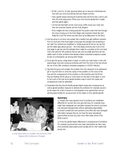- While I count to 10, start 'growing' (stand up) to become a full-blossomed tree with your arms as branches and your fingers as fruits.
- Feel a gentle breeze blowing the branches back and forth, then a storm and then the wind dying down. (Move your arms around gently, then roughly and then gently again.)
- Let the tree feel itself. Let the roots move a little (move your toes) and then the branches (hands) and the fruits (fingers).
- Now imagine the tree is being poisoned. The poison enters the tree through the roots, moving up to the fruits (fingers die), branches (hands die) and finally the trunk.The whole tree dies. (End up by falling down to the floor.)
- $\Box$  Ask the group to sit down and explain that a healthy tree gets sufficient nutrients from its roots. But if the 'fruits' begin turning bad, this indicates that something is not right.The nutrients are insufficient or totally poisoned.What we can see first are the visible signs above ground – the fruits, leaves, branches and trunk of the tree begin to get sick and this indicates there might be a problem at the root level. This is the same for life: problems that we see, such as unsafe abortions, are the visible result of other problems that already existed (unwanted pregnancy caused by lack of contraceptive use among other things).
- ❑ Now give the group a large sheet of paper on which you have drawn a tree with several large roots and numerous branches with fruit.The trunk of the tree should list one of two SRH problems: unwanted pregnancy or HIV/STI infection.
- ❑ Say that the group will consider the problem from the viewpoint of an adolescent girl or boy.Ask them to write the causes of the problem on the roots of the tree and the consequences of the problem on the branches and fruit.When they are finished, tell the group to write down on the back of the paper or next to the trunk of the tree some gender-sensitive ways in which the causes and consequences could be addressed.
- ❑ Emphasise that they should identify gender-based causes and consequences as well as gender-sensitive measures to address the problems. For example,'poverty' as the reason for a lack of access to contraceptives is too general; few incomeearning opportunities for young women as the reason is more gender-specific.



*A small group works on a problem tree during the 1999 Regional AIDS Conference in Malaysia*

#### **Summary**

❑ Explain that many 'general roots' of problems are manifested differently for women and men, girls and boys. For example, boys might have inadequate sex education because the school curriculum only discusses biological facts without addressing responsibility to protect oneself and one's partners. Girls often lack even biological information because they do not have the same educational opportunities as boys (e.g., they more often leave school if the family is poor).

❑ Note the gender-based differences in consequences of problems. For example, young women who have unprotected sex face many more potential repercussions, both socially and for their health, than young men.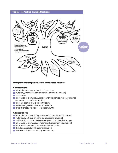

- lack of education on how to use contraceptives
- alcohol or drug use that influences risk behaviours
- failure of contraceptive method (e.g., condom bursts)

#### **Adolescent boys:**

- lack of information because they only learn about HIV/STIs and not pregnancy
- myths (e.g., cannot cause pregnancy because sperm is 'immature')
- insufficient ability to control desires or peer pressure (which can lead to rape)
- lack of access to contraceptives (males not welcome at family planning clinics)
- lack of education on how to use contraceptives and condoms
- alcohol or drug use that influences risk behaviours
- failure of contraceptive method (e.g., condom bursts)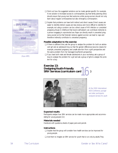| All <b>UGUNG DEGGLE</b> of the world |
|--------------------------------------|
|                                      |
|                                      |
| religion, COIOUF, sexual orientation |
| or mental and physical abouty        |
| have the following <b>Fights</b>     |
| as SEXUd beings                      |
|                                      |
|                                      |
|                                      |
|                                      |
|                                      |
|                                      |
|                                      |
|                                      |

*(From IPPF)*

- ❑ Point out how the suggested solutions can be made gender-specific. For example, if one solution is 'increased access to contraceptives', say that family planning clinics should ensure that young men feel welcome, while young women should not only learn about regular contraceptives but also emergency contraception.
- ❑ Explain that problems can have both indirect and direct causes. Direct causes are easier to identify; indirect causes are less obvious and more difficult to identify. For example, not using a condom can be a direct cause of HIV infection or unwanted pregnancy.Abuse in childhood that lowers self-esteem can contribute indirectly to a person engaging in unprotected sex. Rape can directly result in unwanted pregnancy; social norms that 'tolerate' violence against women can lead to rape and therefore indirectly contribute to unwanted pregnancy.

#### **Possible adaptation to the exercise**

- ❑ If there is sufficient time, ask the group to analyse the problem for both an adolescent girl and an adolescent boy so that the gender differences become clearer, for example, unwanted pregnancy and unsafe abortion from a girl's perspective and the same problem from her teenaged boyfriend's perspective.
- ❑ If you have both male and female adolescents in your workshop, ask a group of boys to analyse the problem for a girl and ask a group of girls to analyse the problem for a boy.

### **Exercise 13: Designing Youth-Friendly SRH Services (curriculum card )** *16*



*At the 2000 International AIDS Conference, younger and older participants analyzed services for youth*

#### **Expected results**

Participants analyse how SRH services can be made more appropriate and accommodating for young people [11]

#### **Materials needed**

Handouts with questions, sheets of paper, pens and pencils

- ❑ Explain that the group will consider how health services can be improved for young people.
- ❑ Ask them to imagine an SRH service for youth that is run only by adults.They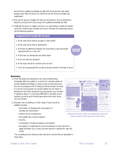should list the qualities, knowledge and skills that the female and male adults possess which help the service run well.What are the service's strengths and weaknesses?

- $\Box$  Then ask the group to imagine the same service being run only by adolescents, listing the young women's and young men's qualities, knowledge and skills.
- ❑ Finally, ask the group to imagine a service run in partnership by adults and adolescents that combines their strengths and tries to eliminate the weaknesses, answering the following questions:



#### **Summary**

- ❑ Note that adults and adolescents can bring complementary knowledge, skills and qualities to a service. For example, adults can provide detailed knowledge on various topics, provide actual services such as pregnancy and STI testing, as well as provide continuity to a service.Young people can provide insights into the needs of adolescents, new issues arising among young people (e.g., increases in substance abuse in a community, difficulties in accessing contraceptives), as well as youth-friendly approaches when peer educators are involved.
- ❑ Education and counselling on a wide range of topics should be available, including:
	- information on biological and social aspects of sexuality and reproduction
	- violence and its consequences
	- the possible risks of early pregnancy
	- HIV/STIs
	- contraception including emergency contraception
	- the dangers of unsafe abortion and circumstances in which abortion is legally permitted (e.g., in many countries, abortion is allowed for rape and incest).

The counselling service should provide referrals to services that are specialised in these areas.



*Integrated information helps meet adolescents' needs (from KwaZulu-Natal Health Department, South Africa)*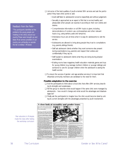#### *Feedback from the Field—*

*"The participants identified all the problems the young people are meeting in the clinics around our country.These were brought up and listed. Most service providers in our country are unfriendly, no wonder the list is endless." (Malawi)*

- ❑ List some of the best qualities of youth-oriented SRH services and ask the participants if they have other points to add:
	- Adult staff listen to adolescents' concerns respectfully and without judgement.
	- Sexuality is approached as an aspect of life that is normal, healthy and pleasurable when people can express it according to their own wishes and desires.
	- Comprehensive information on all SRH topics is given, including demonstrations of condom use, contraceptives and other relevant topics (e.g., using sanitary pads and tampons).
	- Attendance hours are at times when it is easy for adolescents to visit the service.
	- Adolescents are allowed to bring along people they trust to consultations (e.g., parents, siblings, friends).
	- Staff ask adolescent clients whether they want someone else present during examinations (e.g., parents) and respect their wishes and confidentiality if they say no.
	- Staff explain to adolescent clients what they are doing during physical examinations.
	- Waiting rooms have magazines, health education materials, games and toys for young children (e.g., teenage mothers' children or younger siblings) and someone to care for younger children when the adolescent is seeing the health worker.
- ❑ To ensure the success of gender- and age-sensitive services, it is important that influential community members are sensitised to the need for them.

#### **Possible adaptation to the exercise**

- ❑ Ask the participants to think about a local clinic that offers SRH services, describing its strengths and weaknesses.
- $\Box$  Tell the group to describe what would happen if the same clinic were managed by adolescents – how would it change and what would the advantages and disadvantages be?
- $\Box$  Finally ask the participants to imagine how the clinic would become ideal by uniting its current strengths with the advantages presented by youth involvement.

### A close look at sexuality and gender issues



*Peer educators in Malaysia made the news after testing the workshop curriculum*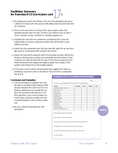# **Facilitator Summary for Exercises 8-13 (curriculum card )** *17*

- ❑ The small groups present their findings to the rest of the participants; each group is allowed 15 minutes, with other groups briefly adding important points that were not mentioned.
- ❑ Point out the importance of looking at SRH issues together, rather than separately, because often the same risk factors and situations that can lead to HIV, for example, can also contribute to unwanted pregnancy, etc.
- ❑ Emphasise the importance for adolescents of developing their critical and analytical skills so that they understand possible risks and feel able to enjoy healthy sexual lives.
- ❑ Explain that when adolescents know that they have SRH rights, this can help them gain access to comprehensive SRH education and services.
- ❑ Express the hope that the approach used in this workshop has been effective.We started by introducing the concepts of sex and gender and then looked at those concepts in our daily lives.After that the ways in which those concepts are transmitted and learned were analysed and, finally, we applied the concepts to SRH problems and brainstormed to find possible solutions.
- ❑ At this point, it can be useful to ask participants their suggestions for follow-up activities.You may want to refer to the flipchart 'Topics for further consideration' (see pp. 8-9).

#### **Conclusion and Evaluation**

- ❑ Give the participants an evaluation form and ask them to complete it before leaving. (Adults and peer educators fill in both forms from the handouts; adolescents only complete the one about the exercises.) When they turn in the forms, give them a copy of the workshop curriculum and/or handouts if possible.Ask them to provide feedback on the workshop's usefulness.
- ❑ Be sure to thank the participants for their participation!

| Activity                                                                                                                                                                            | Very good | Good | Average | Poor |
|-------------------------------------------------------------------------------------------------------------------------------------------------------------------------------------|-----------|------|---------|------|
| Sex and gender: what do they mean?                                                                                                                                                  |           |      |         |      |
| When we were young                                                                                                                                                                  |           |      |         |      |
| Gender not sex                                                                                                                                                                      |           |      |         |      |
| The gender game                                                                                                                                                                     |           |      |         |      |
| The language of sex                                                                                                                                                                 |           |      |         |      |
| Learning about sex                                                                                                                                                                  |           |      |         |      |
| Media images analysis                                                                                                                                                               |           |      |         |      |
| What is violence?                                                                                                                                                                   |           |      |         |      |
| Experiencing violence                                                                                                                                                               |           |      |         |      |
| Lifeline history                                                                                                                                                                    |           |      |         |      |
| Role-play: why?                                                                                                                                                                     |           |      |         |      |
| Problem tree analysis                                                                                                                                                               |           |      |         |      |
|                                                                                                                                                                                     |           |      |         |      |
| Designing youth-friendly SRH services                                                                                                                                               |           |      |         |      |
| Which activity did you find the most valuable?<br>Which activity did you find the least valuable?<br>How would you rate the overall workshop today? Very good? Good? Average? Poor? |           |      |         |      |

#### **Evaluation Form For Adolescents And Adults**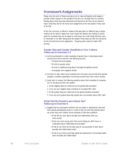# **Homework Assignments** \_\_\_\_\_\_\_\_\_\_\_\_\_\_\_\_\_\_\_\_\_\_\_\_\_\_\_\_\_\_\_\_\_\_\_\_\_\_\_\_\_\_\_\_\_\_\_\_

Please note: the point of these exercises is not to have participants write essays or provide written answers to the questions.The aim is to motivate them to continue thinking about what they have discovered and learned so far.They can be invited to report what they did for the home-work assignment at the next session if they want to do that.

When the curriculum is offered in sessions that take place on different days, a simple method can be used to assess how much impact the sessions are making on participants. For example, they can be asked to write down two main things that they want to remember or do after having done the session.These ideas can then be incorporated into the final home-work assignment – Preparing action plans for better SRH services.

#### **Gender Bias and Gender Sensitivity in Our Culture: Follow-up to Exercises 1-3**

- ❑ Ask the participants to collect examples of gender bias or stereotypes about women's and men's roles from the following sources:
	- Proverbs and local sayings
	- Words to popular songs
	- Words to traditional songs about marriage and getting married
	- Newspaper and magazine articles
- ❑ Ask them to also collect some examples from the same sources that show gender equality or positive expectations concerning women's and men's roles in society.
- ❑ Invite them to answer the following questions about their examples for presentation to the group at their next session:
	- 1. What negative ideas are reinforced by the gender-bias examples?
	- 2. How can such negative ideas contribute to increased SRH risks?
	- 3. What positive ideas are reinforced by the gender-sensitive examples?
	- 4. How can such positive ideas help people and communities reduce SRH risks?

#### **What Did My Parents Learn About Sex? Follow-up to Exercise 6**

- ❑ Suggest that the participants (whether they are adults or adolescents) interview their parents, grandparents, aunts or uncles to find out what they learned about sex when they were children. Some examples of interview questions:
	- What did you learn about sexuality and relationships when you were young?
	- When you were young, were there some things you didn't know or understand about relationships and sexuality?
	- What do you think are the best ways for young people to learn about sexuality and relationships today?
	- What do you think would help adults and adolescents communicate better about sexuality and relationships?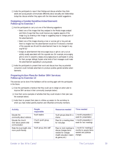❑ Invite the participants to report their findings and discuss whether they think adults and young people communicate differently about sexuality and relationships today.Also discuss whether they agree with the interviewed adults' suggestions.

#### **Designing a Gender-Sensitive Advertisement: Follow-up to Exercise 7**

- ❑ Ask the participants to carry out one of the following suggestions:
	- Select one of the images that they analysed in the 'Media images analysis' and think of ways that they could improve any negative aspects of the image (e.g., by drawing a new image or suggesting ways to change parts of the advertisement).
	- Select one of the images showing a man or woman, girl or boy, and ask them to imagine how the advertisement would be if it showed a member of the opposite sex.Would the advertisement have to be changed in any way? Why?
	- Design an advertisement that encourages boys or girls to carry out an activity usually associated with the opposite sex (for example, encouraging girls to enrol in carpentry classes, encouraging boys to participate in caring for their younger siblings). Explain what kinds of text messages could make the advertisement appealing to young people.
- ❑ Invite the participants to present their work and discuss how they as potential consumers could motivate advertisers to produce positive, gender-sensitive advertisements.

#### **Preparing Action Plans for Better SRH Services: Follow-up to Exercise 13**

This exercise can be done if the facilitators will be working again with the participants in the future.

- ❑ Give the participants a handout that they could use to design an action plan to improve SRH services in their community (example below).
- ❑ Give them some examples of activities that they could include in their plan (see the example below).
- ❑ Invite them to present their plans in a follow-up session to the workshop to which you have invited parents, teachers and influential community members.

| <b>Activity</b>                                                 | <b>People</b><br>responsible    | <b>Resources needed</b>                                                                                                     | <b>Time needed</b>                                                                    |
|-----------------------------------------------------------------|---------------------------------|-----------------------------------------------------------------------------------------------------------------------------|---------------------------------------------------------------------------------------|
| <b>Educate the</b><br>community about violence                  | Youth leaders                   | Youth groups; ideas for a<br>drama                                                                                          | 1 month preparation; 1<br>week for presentation                                       |
| Educate the church<br>choir about parent-child<br>communication | Church youth group,<br>minister | Place for a meeting; ideas<br>for role-plays                                                                                | 1 month preparation; 1<br>week for two meetings                                       |
| Make the local health clinic<br>more youth-friendly             | Youth group, clinic staff       | Place to hold meetings to<br>discuss changes; items<br>needed for changes<br>(health education materi-<br>als, games, etc.) | 1 month for meetings; 2<br>months to acquire items<br>needed and publicize<br>changes |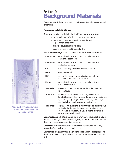# Section 4: **Background Materials**

This section is for facilitators who want more information. It can also provide materials for handouts.

### **Sex-related definitions**

Sex refers to physiological attributes that identify a person as male or female:

- type of genital organs (penis, testicles, vagina, womb, breasts)
- type of predominant hormones circulating in the body (e.g., oestrogen, testosterone)
- ability to produce sperm or ova (eggs)
- ability to give birth to and breastfeed children.

**Sexual orientation** (expression of physical sexual attraction or sexual identity)

| Heterosexual    | sexual orientation in which a person is physically attracted to<br>people of the opposite sex                                                                                                                                                                |
|-----------------|--------------------------------------------------------------------------------------------------------------------------------------------------------------------------------------------------------------------------------------------------------------|
| Homosexual      | sexual orientation in which a person is physically attracted to<br>people of the same sex                                                                                                                                                                    |
| Gay             | male homosexual; also used for female homosexual                                                                                                                                                                                                             |
| Lesbian         | female homosexual                                                                                                                                                                                                                                            |
| <b>MSM</b>      | men who have sexual relations with other men but who<br>do not identify themselves as homosexual                                                                                                                                                             |
| <b>Bisexual</b> | sexual orientation in which a person is physically attracted<br>to people of both sexes                                                                                                                                                                      |
| Transvestite    | person who dresses, uses cosmetics and acts like a person of<br>the opposite sex                                                                                                                                                                             |
| Transsexual     | person who has taken measures to change his/her physical<br>characteristics to completely resemble the sex to which he/she feels<br>he/she belongs (e.g., taking hormones and having a sex change<br>operation to have a penis removed or constructed, etc.) |
| Transgender     | person who has characteristics of both transvestite and transsexual,<br>e.g., dressing like the opposite sex and perhaps taking hormones<br>but not having an operation. Also used to refer to transvestites<br>and transsexuals simultaneously.             |
|                 |                                                                                                                                                                                                                                                              |

**Unprotected sex** refers to sexual activities in which intercourse takes place without the use of technologies that can prevent pregnancy and HIV/STI infection such as condoms, microbicides, spermicides and contraceptives.

**Unsafe sex** refers to sexual activities in which there is an increased risk of HIV/STI transmission (commonly, sex without condom use).

**Unintended pregnancy** refers to a pregnancy that a woman did not plan; the intentionality of a pregnancy may be related to a woman's education, preparation and life goals



*Young people with questions on sexual orientation need information, too (From Pink Triangle, Malaysia)*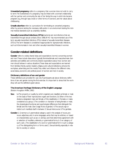**Unwanted pregnancy** refers to a pregnancy that a woman does not wish to carry to term.The 'wantedness' of a pregnancy may be linked with a woman's relationship with her partner and community, the size of her family, the way in which she became pregnant (e.g., through rape, incest or other forms of coercion), and her values about childbearing.

**Unsafe abortion** refers to a procedure for terminating an unwanted pregnancy either by persons lacking the necessary skills and/or in an environment lacking the minimal medical standards such as unsanitary facilities.

**Sexually-transmitted infections (STIs):** bacterial and viral infections that are transmitted through sexual contacts. Since 1998,WHO has recommended use of the term sexually-transmitted infections (STIs) instead of sexually-transmitted diseases (STDs).The term 'diseases' is considered inappropriate for asymptomatic infections, such as trichomoniasis in men and other sexually-transmitted illnesses in women.

### **Gender-related definitions**

**Gender** refers to widely shared ideas and expectations (norms) concerning women and men.These include ideas about 'typically' feminine/female and masculine/male characteristics and abilities and commonly shared expectations about how women and men should behave in various situations.These ideas and expectations are learned from: families, friends, opinion leaders, religious and cultural institutions, schools, the workplace, advertising and the media.They reflect and influence the different roles, social status, economic and political power of women and men in society.

#### **Dictionary definitions of sex and gender**

These definitions are provided for use only if participants ask about dictionary definitions of sex and gender during the first exercise. It is important to stress that the workshop will use the definitions given above.

#### **The American Heritage Dictionary of the English Language**

(Boston: Houghton Mifflin, 1992)

- **Sex:** 1a. The property or quality by which organisms are classified as female or male on the basis of their reproductive organs and functions. 1b. Either of the two divisions, designated male and female, of this classification. 2. Females or males considered as a group. 3.The condition or character of being female or male; the physiological, functional, and psychological differences that distinguish the female and the male. (See Usage Note at gender.) 4.The sexual urge or instinct as it manifests itself in behavior. 5. Sexual intercourse. 6.The genitalia.
- **Gender:** 1. Grammar a.A grammatical category used in the analysis of nouns, pronouns. adjectives, and, in some languages, verbs that may be arbitrary or based on characteristics such as sex or animacy and that determines agreement with or selection of modifiers, referents, or grammatical forms. b. One category of such a set. c.The classification of a word or grammatical form in such a category. d.The distinguishing form or forms used. 2. Sexual identity, especially in relation to society or culture.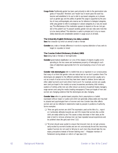*Usage Note: Traditionally, gender has been used primarily to refer to the grammatical categories of "masculine", "feminine", and "neuter"; but in recent years the word has become well established in its use to refer to sex-based categories, as in phrases such as gender gap and the politics of gender.This usage is supported by the practice of many anthropologists, who reserve sex for reference to biological categories, while using gender to refer to sociological or cultural categories.As a rule, one would say, "The effectiveness of the medication appears to depend on the sex (not gender) of the patient", but "In peasant societies, gender (not sex) roles were more likely to be clearly defined." This distinction is useful in principle, but it is by no means widely observed, and considerable variation in usage occurs at all levels.*

#### **The University English Dictionary (no date, London)**

**Sex:** that character by which an animal is male or female

**Gender:**sex, male or female; difference in words to express distinction of sex; verb: to beget, to copulate, to breed

#### **The Concise Oxford Dictionary (Oxford, 1983)**

**Sex:** being male or female or hermaphrodite

**Gender:** grammatical classification (or one of the classes) of objects roughly corresponding to the two sexes and sexlessness; property of belonging to such class, (of adjectives) appropriate form for accompanying a noun of one such class.

**Gender role stereotypes** refer to beliefs that are so ingrained in our consciousness that many of us think that gender roles are natural and so we don't question them.The stereotypes are assigned to the different activities that men and women usually carry out as a result of social norms that they have been raised to believe. Some tasks are often called 'women's work' and others 'men's work'. For example, women are usually seen (and portrayed in the media) as nurses, housewives, secretaries, child minders, washers of clothes, while men are often shown as doctors, household heads, managers, wage earners and using the media (reading newspapers).These portrayals of men and women are changing, evidence that the stereotypes are also changing.

**Gender bias** refers to gender-based prejudice, that is, assumptions or beliefs expressed without reason or justice and which are generally unfavourable and may lead to physical and psychological harm of women and men. Gender bias often affects women and can be reflected in statements made by people in positions of authority. Some examples:

- ❑ "'Men are gold, women are cloth.'The expression, used as the title of a…report on Cambodian attitudes towards sex and HIV, means that women, like a white cloth, are easily soiled by sex.This causes a sharp decrease in their value, as the stain is hard to remove, whereas men can have repeated sexual experiences and be polished clean, like gold, each time." [12]
- ❑ "Women should wear *purdah* to ensure that innocent men do not get unnecessarily excited by women's bodies and are not unconsciously forced into becoming rapists. If women do not want to fall prey to such men, they should take the necessary precautions instead of forever blaming men." – Malaysian member of Parliament during debate on reform of rape laws [13]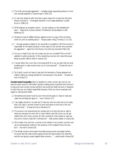- $\Box$  "The child was sexually aggressive" Canadian judge suspending sentence of man who sexually assaulted a 3-year-old girl in 1991 [13]
- ❑ "A man who beats his wife must have a good reason for it; surely she did something to provoke it." – Nicaraguan Supreme Court judge speaking in a public forum in 1996 [14]
- ❑ "Wife beating is an accepted custom…we are wasting our time debating the issue." – Papua New Guinea member of Parliament during debate on wife battering [13]
- ❑ "Scriptures must be fulfilled.Violence against women is a sign of the end times, which we can't do anything about." – Kenyan pastor citing 2 Timothy 3: 1-5 [15]
- ❑ "…through questions related to her sexual life it is possible to tell if the woman is responsible for the attack, because in most cases, it is the woman who provokes the aggression" – agent from the Mexico City Attorney General's Office [16]
- ❑ "Are you a virgin? If you are not a virgin, why do you complain? This is normal." assistant to public prosecutor in Peru answering a woman who reported sexual abuse by police officers while in custody [13]
- ❑ "I would rather sire a cow than a homosexual.With a cow you get milk, but what possible good or value would come out of a homosexual?" – 37-year-old man in Kenya [17]
- ❑ "[In Dubai] I would not have to deal with the heartache of being despised and children calling me *msenge* [Swahili for homosexual] on the street." – 30-year-old man in Kenya [17]

**Gender-based inequality** refers to situations in which women and men do not have the same access to information, decision-making power, household and community resources (such as land, money, nutrition) and social and health services or situations in which they are not treated respectfully because of their sex. Some examples with regard to reproductive health:

- ❑ "Sometimes she doesn't want to, but in the end she gives in. I have to insist and make her, but finally she gives in." – man in Mexico [17]
- $\Box$  "I am legally married to my wife and if I have sex with her when she is not ready, that is not rape.A woman is there to serve and dance to the tune of her husband, full stop." – 47-year-old man in Tanzania [17]
- ❑ "If a woman is not experiencing her menses and is not sick, she has no right to refuse sex, because we marry her to have children, and that is how we can get children.We don't marry women for their cooking. So if she refuses to have sex, why won't I want to beat her? I will beat her." – male opinion leader in Ghana [18]
- ❑ "[No] matter who and how a woman is, her intellect is very small.A woman must use a [contraceptive] method in the presence of the husband.That is the solution." – old man in Ghana [18]
- ❑ "The female condom will increase immorality among women and single mothers. It is worse than the male condom, giving women the opportunity to do what they want. We are going to preach against these condoms..." – parish priest in Kenya [19]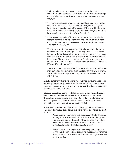- ❑ "I told my husband that it was better to use condoms, the doctor said so.The doctor had also given me some to use at home. My husband became very angry and asked who gave me permission to bring those condoms home." – woman in Kenya [20]
- ❑ "My neighbour is openly running around with several women while his wife has been told to keep quiet on the issue. Recently his wife gathered courage and humbly advised him to take care not to contract HIV.The reward for this advice was a severe beating in which her right eye was so badly damaged that it had to be removed." – civil servant in Dar es Salaam,Tanzania [17]
- ❑ "I knew Antonio was having affairs with other women but he told me he always used protection with them.That was the only time I dared to ask him to use a condom. I shouldn't have! He hit me several times, even though I was pregnant." – woman in Mexico City [17]
- ❑ "We explain all possible contraceptive methods to the women [in Nicaragua], even the natural ones….My feeling is that contraceptive pills and three-month injections are the most popular thing now while earlier it used to be sterilisation. Many women prefer the contraceptive injection because it is easier to hide from their husbands.The secrecy is necessary because Catholicism and machismo continue to play an important role in the relations between the sexes." – Director of IEC of an NGO in Nicaragua [21]
- $\Box$  "I was in labour with my first child. I didn't know that a human being could have so much pain. I asked for pain relief but could have bitten off my tongue afterwards. 'Madam,' said the gynaecologist in a scolding manner,'Most mothers think of their child first!'" [22]

**Gender sensitivity** refers to the ability to recognise the influence and impact of gender roles, gender bias and gender-based inequality on people's daily life experiences, sexual and reproductive health, and programmes and projects that aim to improve the lives of women, men, girls and boys.

**Violence against women:** "Any act of gender-based violence that results in, or is likely to result in, physical, sexual or mental harm or suffering to women, including threats of such acts, coercion or arbitrary deprivation of liberty, whether occurring in public or in private life." (*Declaration on the Elimination of Violence against Women* adopted by the United Nations General Assembly in 1993)

Article 113 of the Platform for Action adopted at the Fourth UN World Conference on Women (Beijing 1995) states that violence against women encompasses but is not limited to:

- Physical, sexual and psychological violence occurring in the family, including battering, sexual abuse of female children in the household, dowry-related violence, marital rape, female genital mutilation and other traditional practices harmful to women, non-spousal violence and violence related to exploitation; this is often denoted as 'domestic violence'
- Physical, sexual and psychological violence occurring within the general community, including rape, sexual abuse, sexual harassment and intimidation at work, in educational institutions and elsewhere, trafficking in women and forced prostitution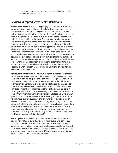• Physical, sexual and psychological violence perpetrated or condoned by the State, wherever it occurs.

### **Sexual and reproductive health definitions**

**Reproductive health** "is a state of complete physical, mental and social well-being and not merely the absence of disease or infirmity, in all matters relating to the reproductive system and to its functions and processes. Reproductive health therefore implies that people are able to have a satisfying and safe sex life and that they have the capability to reproduce and the freedom to decide if, when and how often to do so. Implicit in this last condition are the rights of men and women to be informed and to have access to safe, effective, affordable and acceptable methods of family planning of their choice, as well as other methods of their choice for regulation of fertility which are not against the law, and the right of access to appropriate health-care services that will enable women to go safely through pregnancy and childbirth and provide couples with the best chance of having a healthy infant. In line with the above definition of reproductive health, reproductive health care is defined as the constellation of methods, techniques and services that contribute to reproductive health and well-being by preventing and solving reproductive health problems. It also includes sexual health, the purpose of which is the enhancement of life and personal relations, and not merely counselling and care related to reproduction and sexually transmitted diseases." (*ICPD Programme of Action*, paragraph 7.2; UN International Conference on Population and Development, Cairo, Egypt, 1994)

**Reproductive rights** "embrace certain human rights that are already recognized in national laws, international human rights documents and other consensus documents. These rights rest on the recognition of the basic right of all couples and individuals to decide freely and responsibly the number, spacing and timing of their children and to have the information and means to do so, and the right to attain the highest standard of sexual and reproductive health. It also includes their right to make decisions concerning reproduction free of discrimination, coercion and violence, as expressed in human rights documents. In the exercise of this right, they should take into account the needs of their living and future children and their responsibilities towards the community.The promotion of the responsible exercise of these rights for all people should be the fundamental basis for government- and community-supported policies and programmes in the area of reproductive health, including family planning.As part of their commitment, full attention should be given to the promotion of mutually respectful and equitable gender relations and particularly to meeting the educational and service needs of adolescents to enable them to deal in a positive and responsible way with their sexuality." (*ICPD Programme of Action*, paragraph 7.3, International Conference on Population and Development, Cairo, Egypt, 1994)

**Sexual rights** include people's "right to have control over and decide freely and responsibly on matters related to their sexuality, including sexual and reproductive health, free of coercion, discrimination, and violence. Equal relationships between women and men in matters of sexual relations and reproduction, including full respect for the integrity of the person, require mutual respect, consent, and shared responsibility for sexual behaviour and its consequences." (*Platform for Action*, paragraph 96, Fourth World Conference on Women, Beijing, China, 1995)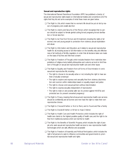#### **Sexual and reproductive rights**

The International Planned Parenthood Foundation (IPPF) has published a charter of sexual and reproductive rights based on international treaties and conventions [23].The rights that they list and some examples of what these mean are given below.

- ❑ The Right to Life, which means that no woman's life should be put at risk by reason of pregnancy and unsafe abortion
- ❑ The Right to Liberty and Security of the Person, which recognises that no person should be subject to female genital cutting, forced pregnancy, forced sterilisation or forced abortion
- ❑ The Right to be Free from Torture and Ill-treatment, including the rights of all women, men and young people to protection from violence, sexual exploitation and abuse
- ❑ The Right to Information and Education, as it relates to sexual and reproductive health for all, including access to full information on the benefits, risks, and effectiveness of all methods of fertility regulation, in order that all decisions taken are made on the basis of full, free and informed consent
- □ The Right to Freedom of Thought, which includes freedom from restrictive interpretations of religious texts, beliefs, philosophies and customs as tools to limit freedom of thought on sexual and reproductive health care and other issues
- ❑ The Right to Equality and Freedom from all Forms of Discrimination in one's sexual and reproductive life, including:
	- The right to choose to be sexually active or not, including the right to have sex that is mutually consensual
	- The right to explore and express one's sexuality free from violence, discrimination and coercion within relationships based on equality, respect and justice
	- The right to choose one's sexual partners without discrimination
	- The right to express sexuality independent of reproduction
	- The right to insist on and practise safer sex (to protect against HIV/STIs) and protected sex (to prevent unwanted pregnancy)
- ❑ The Right to Privacy, meaning that all sexual and reproductive health-care services should be confidential, and all women and men have the right to make their own reproductive choices
- ❑ The Right to Choose Whether or Not to Marry and to Found and Plan a Family
- ❑ The Right to Decide Whether or When to Have Children
- ❑ The Right to Health Care and Health Protection, which includes the right of health-care clients to the highest possible quality of health care, and the right to be free from traditional practices which are harmful to health
- ❑ The Right to the Benefits of Scientific Progress, which includes the right of people who seek sexual and reproductive health services to new reproductive health technologies which are safe, effective and acceptable
- ❑ The Right to Freedom of Assembly and Political Participation, which includes the right of all persons to seek to influence communities and governments to prioritise sexual and reproductive health and rights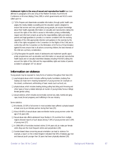**Adolescent rights in the area of sexual and reproductive health** have been affirmed in paragraphs 107e and 107g of the *Platform for Action,* Fourth World Conference on Women, Beijing, China, 1995, in which governments and NGOs were called upon to:

- ❑ "107e: Prepare and disseminate accessible information, through public health campaigns, the media, reliable counselling and the education system, designed to ensure that women and men, particularly young people, can acquire knowledge about their health, especially information on sexuality and reproduction, taking into account the rights of the child to access to information, privacy, confidentiality, respect and informed consent, as well as the responsibilities, rights and duties of parents and legal guardians to provide, in a manner consistent with the evolving capacities of the child, appropriate direction and guidance in the exercise by the child of the rights recognized in the Convention on the Rights of the Child, and in conformity with the Convention on the Elimination of All Forms of Discrimination against Women; ensure that in all actions concerning children, the best interests of the child are a primary consideration;
- ❑ 107g: Recognize the specific needs of adolescents and implement specific appropriate programmes, such as education and information on sexual and reproductive health issues and on sexually transmitted diseases, including HIV/AIDS, taking into account the rights of the child and the responsibilities, rights and duties of parents as stated in paragraph 107 (e) above;"

# **Information on violence**

Young people may be exposed to many forms of violence throughout their lives [24]:

- ❑ psychological abuse which includes suffering insults, humiliation, bullying,'Eveteasing' (an Asian term meaning harassment of young women, for example on the street), confinement, withholding of basic needs (such as food), etc.
- ❑ physical abuse, which includes beating, kicking, pulling hair, biting, acid throwing and other types of dowry-related attempts at murder of young brides,'honour killings', female genital cutting
- ❑ sexual violence, which includes economically coerced sex, date, marital and gang rape, incest, forced pregnancy and trafficking in the sex industry.

#### Some statistics:

- ❑ Worldwide, 15-50% of all women in most societies have suffered a physical assault at least once by an intimate partner during their lives [25].
- ❑ About 40-60% of sexual abuse cases worldwide involve young women under the age of 16 years [26].
- ❑ Sexual abuse also affects adolescent boys. Studies in 19 countries from multiple regions showed reports of such abuse among 7-34% of young women and 3-29% of young men [27].
- ❑ In 1998, 69% of homicides involved victims 15-44 years old, six males per female victim. Boys are the most frequent victims and perpetrators [28].
- ❑ Gender-biased ideas concerning sexual orientation can lead to violence. For example, a report on the United Kingdom indicated that 50% of lesbians, gay men and bisexual youth younger than 18 years had been physically attacked [29].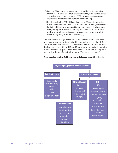- ❑ Every day, 288 young people somewhere in the world commit suicide, often because of SRH-related problems such as physical abuse, sexual violence, relationship problems, alcohol and drug abuse, HIV/STIs, unwanted pregnancy, unsafe abortion, and anxiety concerning their sexual orientation [30].
- ❑ Female genital cutting (FGC) still takes place in some 30 countries worldwide. Usually performed in early childhood or adolescence, it can affect young women's health in multiple negative ways: agonizing pain when carried out without anaesthesia; bleeding and anaemia; shock; tetanus; fever and infections. Later in life, FGC can lead to painful menstruation, urinary leakage, cysts, prolonged obstructed labour and psychological and sexual problems [31].

The Convention on the Rights of the Child, ratified by most of the countries in the world, obligates governments to protect children and adolescents from abuse in Article 19.1:"States Parties shall take all appropriate legislative, administrative, social and educational measures to protect the child from all forms of physical or mental violence, injury or abuse, neglect or negligent treatment, maltreatment or exploitation, including sexual abuse, while in the care of parent(s), legal guardian(s) or any other person…"

# **Some possible results of different types of violence against individuals**

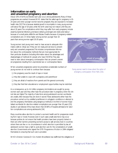# Gender or Sex: Who Cares?

# **Information on early and unwanted pregnancy and abortion**

About 10% of births worldwide each year occur among adolescents. Many of these pregnancies are wanted. However,WHO states that the safest age for pregnancy is 20- 24 years and when younger women become pregnant, they are exposed to increased health risks [32].This is because skeletal growth is incomplete in many young women until about the age of 18 years, while the birth canal may not mature until they are about 20 years.The complications which they may suffer from early pregnancy include anaemia, bacterial infections, premature delivery, prolonged and obstructed labour because of a small pelvis, stillbirths and fistulae. Deaths because of pregnancy-related complications are 2-5 times higher among women younger than 18 years than among women aged 20-29 years.

Young women (and young men) need to have access to adequate information, skills to refuse sex if they are not ready, and services to prevent early and unwanted pregnancies.This includes comprehensive information about the contraceptive methods that are most appropriate for their particular situations (including information about the advantages and disadvantages of methods for people who have HIV/STIs).They also need to learn about emergency contraception that can prevent unwanted pregnancies resulting from unprotected sex or contraceptive failure.

When unwanted pregnancies cannot be prevented, considerable numbers of young women do not wish to continue them because:

- ❑ the pregnancy was the result of rape or incest
- ❑ they feel unable to cope with a pregnancy and parenthood
- $\Box$  they are afraid of reactions from parents and the general community
- ❑ they fear that their educational or employment opportunities may be restricted.

As a consequence, up to 4.4 million pregnancy terminations are sought by young women each year and they often have the procedure later in pregnancy when the clinical risks are higher.The majority of abortions among adolescent women worldwide are unsafe, often because they are done in secret.These adolescents either have the procedure carried out by unskilled practitioners in unhygienic conditions or attempt to end the pregnancy themselves using dangerous methods. One-third of women hospitalised worldwide for abortion-related complications are younger than 20 years [33]; studies in sub-Saharan Africa have shown that 30-80% of hospital admissions for abortion complications are among adolescents [34].

Many countries allow abortion to protect a woman's health and for pregnancies resulting from rape or incest. However, even in such cases unsafe abortions may occur because policies do not ensure that health providers have been properly trained or there are other barriers preventing women's access to safe services. Even in countries where there are few or no circumstances in which abortion is permitted by law, all adolescent women have a right to post-abortion care for the complications of unsafe abortion. Governments who signed the ICPD Programme of Action in 1994 obligated themselves to ensuring that such care is provided.

WHO's Director General, Dr Gro Harlem Brundtland, has reaffirmed the obligations of



*Young women need to know about the option of emergency contraception (From Path, USA)*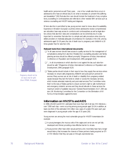health-sector personnel as well:"Every year… one in four unsafe abortions occurs in adolescence.We have an ethical duty to do what is necessary to prevent this suffering and devastation" [26]. Post-abortion care should include the treatment of any complications, counselling on contraceptives and referrals to other needed SRH services such as violence counselling and HIV/STI testing and diagnosis.

Where abortion is permitted by law, young women need to know about its availability. Experience in Western European countries where adolescents receive comprehensive sex education, have easy access to condoms and contraceptives, as well as legal abortion, shows that abortion rates and complications can be extremely low. It is also important to remember that abortion is a simple and safe procedure when done by skilled providers in medically-adequate circumstances. For example, in the USA, among adolescents aged 15-19 years, the risk of death due to pregnancy and childbirth is 20 times greater than for abortion [35].

# **Relevant texts from international documents:**

- ❑ "In all cases women should have access to quality services for the management of complications arising from abortion. Postabortion counselling, education and family planning services should be offered promptly." (*Programme of Action,* International Conference on Population and Development, 1994, paragraph 8.25)
- ❑ "…In all circumstances in which abortion is not against the law, such abortion should be safe." (*Programme of Action,* International Conference on Population and Development, 1994, paragraph 8.25)
- ❑ "States parties should include in their reports how they supply free services where necessary to ensure safe pregnancies, childbirth and post-partum periods for women. Many women are at risk of death or disability from pregnancy-related causes because they lack the funds to obtain or access the necessary services, which include antenatal, maternity and post-natal services.The Committee notes that it is the duty of States parties to ensure women's right to safe motherhood and emergency obstetric services and they should allocate to these services the maximum extent of available resources." (*General Recommendation 24.27,* 20th session, UN Monitoring Committee for the Convention on the Elimination of All Forms of Discrimination against Women)

# **Information on HIV/STIs and AIDS**

In 1998, UNAIDS and WHO estimated that more than half of all new HIV infections over 7,000 each day—were occurring among young people aged 10-24; in addition, at least one-third of the estimated 333 million new cases of curable STIs seen each year were diagnosed in young people under the age of 25 years [26].

Young women are among the most vulnerable groups for HIV/STI transmission; for example:

- $\Box$  In young teenagers, the mucous cells of the vagina and cervix are not yet fully developed and thinner, providing a less effective barrier to viruses.
- ❑ Young women often have older sexual partners, who most likely have had a longer sexual history that increases the chances of these partners having acquired an STI or HIV infection that they can pass on through unprotected sex.



*Pregnancy should not be 'an issue only for girls' (from FFPAM, Malaysia)*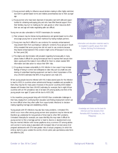- ❑ Young women's ability to influence sexual decision-making is often highly restricted, due both to gender-based norms and relative powerlessness due to their younger age.
- ❑ Young women who have been deprived of education, lack both skills and opportunities for obtaining well-paying jobs, and who have little financial support from their families, may turn to trading sex for cash, goods or other resources. Both their sex and age will make negotiating safer sex difficult.

Young men are also vulnerable to HIV/STI transmission, for example:

- ❑ Peer pressure may be intense during adolescence and gender-based norms often encourage young men to 'prove their manhood' by having multiple partners.
- ❑ Young men may find it difficult to use condoms. For example, embarrassment may prevent them from purchasing or asking for condoms. Focus groups in South Africa revealed that some young men did not want to use condoms because they feared embarrassment if the condom might come off because it is too big for their penis [36].
- ❑ The stigma and discrimination still prevalent regarding homosexuality in many places makes it difficult for young homosexual men to express their sexual orientation openly, and this makes it more difficult for them to obtain needed SRH information and take action to reduce their SRH risks.
- ❑ Drug abuse increases vulnerability to HIV infection in two ways: it may increase feelings of 'being in control' and willingness to take risks, such as unsafe sex; and sharing of unsterilised injecting equipment can lead to direct transmission of the virus. UNAIDS estimates that 80% of drug injectors are male [37].

When young people become infected with HIV, it takes several years for the infection to lead to AIDS. In countries where antiretroviral therapy is available and accessible to them, they may live for many years. However, in the poorer countries, AIDS-related diseases will threaten their lives. UNAIDS estimates, for example, that in eight African countries with an HIV prevalence rate of at least 15% among adults, one-third of the young people now aged 15 years will die due to AIDS [38].

In the meantime, young people living with HIV/AIDS face considerable challenges in their lives, ranging from continuing their education and finding employment (which can be more difficult when they often suffer from opportunistic infections) to decisionmaking regarding marriage and establishing a family.

Young people with STI infections may also face many problems. Untreated STIs (which occur more often among young women since symptoms may be internal and therefore go undetected for long periods of time) lead to other SRH problems. Untreated chlamydia, for example, can cause infertility; this may make it difficult for young women to find a marriage partner or lead to divorce or abandonment once they are married. Infection with human papilloma virus, a common STI among adolescent women in some areas, is associated with increased risks of cervical cancer.And pregnant adolescents with STIs have greater risks of ectopic pregnancy (in which the embryo starts to grow outside the womb), chronic pelvic pain, spontaneous abortions and stillbirths [26].



*Information and education materials need to be targeted to specific groups (from SAD-Schorer Stichting,The Netherlands)*



*Knowledge and choice are the basis for informed and free decisions (from Remedios AIDS Foundation, Inc., the Philippines)*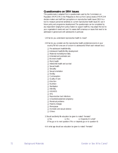# **Questionnaire on SRH issues**

This questionnaire is adapted from a questionnaire used by the Commission on Population (POPCOM) in the Philippines to find out from various levels of POPCOM decision-makers and staff their perceptions on reproductive health issues [39]. It is a tool to measure personnel sensitivity to current reproductive health issues for use in future policy and programme development.The questionnaire can be completed by any respondent ranging from policy-makers to support staff.You may adapt this tool to your organisation's needs and use it to assess staff consensus on issues that need to be addressed in general and with adolescents in particular.

1.What do you understand reproductive health to mean?

- 2.What do you consider are the reproductive health problems/concerns in your country? Which ones are of concern to adolescents? (Mark each relevant box.)
	- ❑ Pre-adolescent health/fertility
	- ❑ Adolescent health/fertility development
	- ❑ Maternal morbidity/mortality
	- ❑ Antenatal and postnatal care
	- ❑ Women's health
	- ❑ Men's health
	- ❑ Infant/child health and survival
	- ❑ Sexual health
	- ❑ Sexuality
	- ❑ Sexual orientation
	- ❑ Fertility
	- ❑ Contraception
	- ❑ Quality of care
	- ❑ Abortion
	- ❑ Nutrition
	- ❑ Sterilisation
	- ❑ Infertility
	- ❑ HIV/AIDS
	- ❑ STIs
	- ❑ Reproductive tract infections
	- ❑ Unwanted/unplanned pregnancy
	- ❑ Menstrual problems
	- ❑ Puberty changes
	- ❑ Menopause
	- ❑ Domestic and sexual violence
	- ❑ Others
- 3. Should sex/family life education be given to males? Females?
	- ❑ Yes ❑ No ❑ Depends. On what?
	- (If Yes, go on to next question. If No or depends, go on to question 6)
- 4.At what age should sex education be given to males? Females?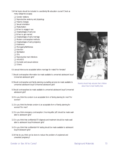- 5.What topics should be included in a sex/family life education course? Check as many categories as apply.
	- ❑ Gender relations
	- ❑ Reproductive anatomy and physiology
	- ❑ Puberty changes
	- ❑ Sexual orientation
	- ❑ Masturbation
	- ❑ When to engage in sex
	- ❑ Disadvantages of early sex
	- ❑ When to get married
	- ❑ Disadvantages of early marriage
	- ❑ Modern contraceptive methods
	- ❑ Disadvantages of early pregnancy
	- ❑ Abstinence
	- ❑ Monogamy/faithfulness
	- ❑ Abortion
	- ❑ Sterilisation
	- ❑ STIs
	- ❑ Reproductive tract infections
	- ❑ HIV/AIDS
	- ❑ Domestic and sexual violence
	- ❑ Others
- 6. Is sexual intercourse acceptable before marriage for males? For females?
- 7. Should contraceptive information be made available to unmarried adolescent boys? Unmarried adolescent girls?
- 8. Should contraceptive and family planning counselling services be made available to unmarried adolescent boys? Unmarried adolescent girls?
- 9. Should contraceptives be made available to unmarried adolescent boys? Unmarried adolescent girls?
- 10. Do you think the condom is an acceptable form of family planning for men? For women?
- 11. Do you think the female condom is an acceptable form of family planning for women? For men?
- 12. Do you think emergency contraception ('morning-after pill') should be made available to adolescent girls?
- 13. Do you think that confidential STI diagnosis and treatment should be made available to adolescent boys? Adolescent girls?
- 14. Do you think that confidential HIV testing should be made available to adolescent boys? Adolescent girls?
- 15.What do you think can be done to reduce the problem of unplanned and unwanted pregnancy?



*Parents should help educate their children about how to lead healthy lives*

# Gender or Sex: Who Cares?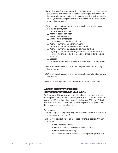- 16.According to the *Programme of Action* from the 1994 International Conference on Population and Development, all women have a right to postabortion care (for incomplete miscarriage & unsafe abortions), even where abortion is restricted by law. Do you think your organisation should refer women and adolescent girls to postabortion care services?
- 17. Do you think that safe legal abortion services should be provided to women, including adolescents, when:
	- ❑ Pregnancy resulted from rape
	- ❑ Pregnancy resulted from incest
	- ❑ Woman's life is endangered
	- ❑ Woman's health is endangered
	- ❑ Foetus is likely to be defective or malformed
	- ❑ Pregnancy is unwanted for economic reasons
	- ❑ Pregnancy is unwanted because the girl is unmarried
	- ❑ Pregnancy is unwanted because the girl is living on the streets
	- ❑ Pregnancy is unwanted because the girl's partner beats her and she is afraid of having a miscarriage or she does not want to bring a child into a violent household
	- ❑ Not at all
	- ❑ Are there any other reasons why safe abortion services should be provided?
- 18.What is the most common form of violence against women and girls that you hear or read about?
- 19.What is the most common form of violence against men and boys that you hear or read about?
- 20.What can your organisation do to address violence issues for adolescents?

# **Gender sensitivity checklist: How gender-sensitive is your work?**

The following checklist was originally designed to help policy implementers and programme planners assess the gender sensitivity of their HIV/AIDS and STI policies and programmes [40]; it has been slightly adapted to include more SRH issues. First determine which areas pertain to your type of activities. Responses to the questions may then be answered yes, somewhat and no.

# **Researchers**

- ❑ Do you explore the implications of gender inequality in relation to various sexual and reproductive health issues?
- ❑ Does your research focus on issues of special relevance to adolescent women and men?
	- Women controlling their risk
	- Women's scope for decision-making in different situations
	- Women's right to control fertility
	- Factors motivating men to share decision-making regarding fertility control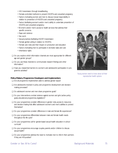- HIV transmission through breastfeeding
- Female-controlled methods to prevent HIV/STIs and unwanted pregnancy
- Factors motivating women and men to discuss mutual responsibility in relation to prevention of HIV/STIs and unwanted pregnancy
- Factors facilitating women's and/or men's ability to undertake prevention of HIV/STIs and unwanted pregnancy
- Women's and/or men's access to health services that address their specific concerns
- Rape and violence
- Sex work
- Sexual practices facilitating HIV/STI transmission
- Female genital cutting in relation to HIV/STIs
- Female care roles and their impact on production and education
- Factors motivating men to participate in domestic tasks and care
- Inheritance rights
- ❑ Do you explore which information channels are most appropriate for different age and gender groups?
- ❑ Do you use these channels to communicate research findings and other information?
- ❑ Have you researched barriers to women's and adolescents' participation in programme activities?

#### **Policy-Makers, Programme Developers and Implementers**

- ❑ Are all programme implementers able to address gender issues?
- ❑ Are adolescents involved in policy and programme development and decisionmaking processes?
- ❑ Do adolescent women and men share programme goals?
- ❑ Do your interventions combat violence against women and girls (active policy goals, educational programmes, legislation)?
- ❑ Do your programmes consider differences in gender roles, access to resources and decision-making that affect adolescent women's and men's abilities to protect themselves?
- ❑ Do your programmes consider differences in male and female life experiences?
- ❑ Do your programmes differentiate between male and female health needs throughout the life cycle?
- ❑ Do your programmes call for gender-based sexual health education in school curricula?
- ❑ Do your programmes encourage couples, parents and/or children to discuss sexual health?
- ❑ Do your programmes address the need to motivate men to inform their partners if they are HIV-positive?



*Young women need to know about all their reproductive health options*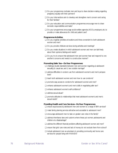- ❑ Do your programmes motivate men and boys to share decision-making regarding pregnancy equally with their partners?
- ❑ Do your interventions aim to develop and strengthen men's concern and caring for their families?
- ❑ Do your education and communication programmes encourage men to share domestic responsibilities and tasks?
- ❑ Do your programmes encourage social welfare agencies, NGOs, employers, etc. to provide or make allowances for child and patient care?

#### **Programme Activities**

- ❑ Do you organise activities at locations and times convenient to both adolescent women and men?
- ❑ Do you provide childcare services during activities and meetings?
- ❑ Do you create situations in which adolescent women and men can talk freely about their opinions, feelings and needs?
- ❑ Do you try to ensure that adolescent men and women hear and respond to one another's concerns and needs in a constructive manner?

#### **Promoting Safer Sex—Do Your Programmes:**

- ❑ challenge double standards between men and women regarding: a) adolescent sexuality, b) casual sex, and c) sex outside marriage?
- ❑ address difficulties in condom use from adolescent women's and men's perspectives?
- ❑ teach both adolescent women and men how to use condoms?
- ❑ promote easy access to condoms for adolescent women and men?
- ❑ enhance adolescent women's and men's skills in negotiating safer sex?
- ❑ enhance adolescent women's self-confidence?
- ❑ address sexual abuse?
- ❑ promote attitudes to relationships that meet adolescent women's and men's sexual needs?

#### **Providing Health and Care Services—Do Your Programmes:**

- ❑ ensure equal access by adolescent men and women to a range of SRH services?
- ❑ make family planning services attractive and accessible to adolescent men?
- ❑ encourage adolescent men to take on greater care roles in the family?
- ❑ address inheritance laws and customs where these put women, adolescents and children at a disadvantage?
- ❑ address the different financial problems affecting adolescent women and men?
- ❑ ensure that girls' care roles and lack of money do not exclude them from school?
- ❑ include adolescent men as volunteers in providing community and home care services for people living with HIV/AIDS?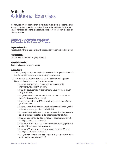# Section 5: Additional Exercises

We highly recommend that facilitators complete the first exercise as part of the preparation and planning process for a workshop. If there will be sufficient extra time in a planned workshop, the other exercises can be added.They can also form the basis for follow-up activities.

# **What Are Our Attitudes and Values? An Exercise for Facilitators (1.5 hours)**

# **Expected results**

Participants identify their attitudes towards sexuality, reproduction and SRH rights [41]

# **Methodology**

Individual reflection followed by group discussion

# **Materials needed**

Handout with questions, pens or pencils

# **Instructions**

- ❑ Give the participants a pen or pencil and a handout with the questions below; ask them to take 20 minutes to write down briefly their responses.
- ❑ Then ask them to talk about their responses for 20 minutes with a partner. Afterwards discuss the responses in a plenary session.
	- 1. If you use contraceptives or condoms, do you believe that this improves your sexual life? Why? How?
	- 2. If you do not use contraceptives or condoms, would you like to do so? Why or why not?
	- 3. Do you think that women and men who do not have children are 'less mature' or 'incomplete' in some way?
	- 4. Have you ever suffered an STI? If so, was it easy to get treatment? Were you treated well?
	- 5. Have you ever suffered verbal or physical mistreatment? How did you feel and what actions did you take to deal with this?
	- 6. Do you think that adolescents should also be taught about the pleasurable aspects of sexuality in addition to the risks and precautions to take?
	- 7. If you had a 13-year-old daughter or niece who became pregnant, what would your reaction and response be?
	- 8. If you had a 16-year-old son or nephew who caused a teenage pregnancy, what would your reaction and response be?
	- 9. If you had a 15-year-old son or nephew who contracted an STI, what would your reaction and response be?
	- 10. Do you know someone who died because of an SRH problem? What do you think could have prevented this?

# Gender or Sex: Who Cares? The Cares of Cares and Care and Cares and Care and Care and Care and Care and Care and Care and Care and Care and Care and Care and Care and Care and Care and Care and Care and Care and Care and C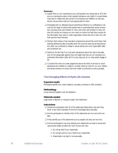#### **Summary**

- ❑ Explain that our own experiences (e.g., contraceptive use, having had an STI) influence our perceptions about other people's behaviours and rights. It is nevertheless important to realise that each person's circumstances are different so that they should choose actions that are most appropriate for them.
- ❑ Emphasise that our attitudes toward parenthood influence our willingness to discuss the full range of options that people have in expressing their sexual orientation, choosing when and whether to marry and when and whether to have children.We should not impose our own views on others but help them acquire all the information they need to make responsible choices that are in their own and their partners' best interests.
- ❑ Mention that reviews of sex education programmes around the world show that teaching adolescents about sexuality does not promote early sexual experiences but rather can contribute to delays in sexual activity and more responsible (safer and protected) sex.
- ❑ Reinforce the fact that if we only teach adolescents about the risks of sexuality and not the pleasurable aspects, they will realise that they are not receiving comprehensive information (after all, if it is only risky, why do so many adults engage in it?).
- ❑ Conclude that when we make judgements about the kinds of services to which adolescents are entitled, it is useful to consider what we want for our own children and family members to ensure that their health is protected as well as possible.

# **The Damaging Effects of Myths (30 minutes)**

# **Expected results**

Participants identify how myths related to sexuality contribute to SRH problems

#### **Methodology**

Group exercise together with the facilitators

#### **Materials needed**

Large sheet of flipchart or newsprint paper with statements

#### **Instructions**

- ❑ Present the participants with 10 of the statements listed below and ask if they know of any other examples of 'common knowledge' about sexuality.
- ❑ Ask the participants to identify which of the statements are true and which are false.
- $\Box$  If they identify any of the statements as true, explain why they are incorrect.
- ❑ Ask the participants to say why believing such statements can lead to sexual and reproductive health problems for both women and men.
	- 1. You will go blind if you masturbate.
	- 2. You will get warts on your hands if you masturbate.
	- 3. Masturbation can lead to homosexuality.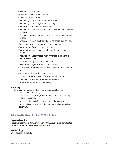- 4. Women do not masturbate.
- 5. Having 'wet dreams' means you are sick.
- 6. Kissing can get you pregnant.
- 7. You cannot get pregnant the first time you have sex.
- 8. You cannot get pregnant if you have sex standing up.
- 9. You only get pregnant if you have sex at night.
- 10. You cannot get pregnant if the man withdraws from the vagina before he ejaculates.
- 11. If a woman washes her genital area immediately after sex, she cannot get pregnant.
- 12. A teenage boy's sperm is not yet mature so he can't get a girl pregnant.
- 13. Taking a bath with a boy may mean you can get pregnant.
- 14. You will go mad if you do not have sex regularly.
- 15. You will get sick if you get sexually excited and then do not have intercourse.
- 16. If boys do not have sex, the sperm stay in their bodies and manifest themselves as pimples.
- 17. A 'real man' is always able to have intercourse.
- 18. Women cannot enjoy sex in the same way as men.
- 19. A pregnant woman must receive sperm during sex so that her baby will be healthy.
- 20. Sex is not 'real' if penetration does not take place.
- 21 You cannot be infected with HIV if you have sex with a virgin.
- 22. Having sex with a young virgin can cleanse you of HIV.
- 23. When a woman says no, she really means yes.

#### **Summary**

❑ Summarise the damaging effects of myths by pointing out that they:

- frighten people unnecessarily
- prevent people from seeking out or accepting facts related to sexuality and thus perpetuate ignorance
- can prevent adolescents from practising safer and protected sex
- can be used as a means to persuade a reluctant sexual partner to have sex anyway.

# **Admiring the Opposite Sex (20-30 minutes)**

#### **Expected results**

Participants understand that men and women both have qualities and characteristics that are appreciated by people in the community [42]

#### **Methodology**

Group exercise with facilitators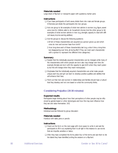#### **Materials needed**

Large sheet of flipchart or newsprint paper with questions, marker pens

#### **Instructions**

- ❑ If you have participants of both sexes, divide them into male and female groups. Otherwise just divide the participants into two groups.
- ❑ Ask one group to list examples of what men admire in women (e.g., figure, sweet voice, love for children, able to do household chores).Ask the other group to list examples of what women admire in men (e.g., strength, capacity to deal with difficult issues, income-earning abilities).
- $\Box$  Ask the groups to discuss the following questions:
	- 1.Which of these characteristics are acquired as a person grows up and which ones do men and women have from birth?
	- 2. How long does each of these characteristics last (e.g., a short time, a long time but disappearing over time, all during life)? (They can mark each characteristic with a symbol to represent the different time categories.)

#### **Summary**

- ❑ Explain that the individually acquired characteristics can be changed, while many of the characteristics with which people are born also may change over time (for example, females are born with the capacity to give birth when they reach puberty but this will change when they reach menopause).
- ❑ Emphasise that the individually acquired characteristics are what make people unique; each boy and girl can learn to develop positive qualities and abilities that will enhance their lives.
- ❑ Point out that men and women in relationships and families should have a 'culture' that they develop and not one based on what the community thinks.

# **Considering Prejudice (20-30 minutes)**

#### **Expected results**

Participants begin thinking about how their perceptions of other people may be influenced by gender-based or other stereotypes and how this may even influence how they see and value themselves [43]

#### **Methodology**

Individual exercise followed by group discussion

# **Materials needed**

Handout with table, pens or pencils

# **Instructions**

- ❑ Hand out the form on the next page with more space to write in and ask the participants to fill it out, explaining that it is all right in this instance to use words that are impolite, sensitive or taboo.
- ❑ After they have completed the forms, select four of the terms and ask them to list the labels they have identified, writing the answers on a flipchart.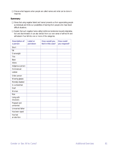❑ Discuss what happens when people are called names and what can be done in response.

# **Summary**

- ❑ Stress that using negative 'labels' and 'names' prevents us from appreciating people as individuals and limits our possibilities of learning from people who have faced difficult situations.
- ❑ Explain that such negative 'name-calling' reinforces tendencies towards stigmatisation and discrimination. It can also detract from our own sense of self-worth and self-esteem if we fall into one or more of the categories.

| <b>Description of</b>          | <b>Label or</b> | How would you      | <b>How could</b> |
|--------------------------------|-----------------|--------------------|------------------|
| a person                       | put-down        | feel in this case? | you respond?     |
| Short                          |                 |                    |                  |
| Tall                           |                 |                    |                  |
| Overweight                     |                 |                    |                  |
| Thin                           |                 |                    |                  |
| <b>Black</b>                   |                 |                    |                  |
| Albino                         |                 |                    |                  |
| Indigenous person              |                 |                    |                  |
| Homosexual                     |                 |                    |                  |
| Lesbian                        |                 |                    |                  |
| Older person                   |                 |                    |                  |
| Wearing glasses                |                 |                    |                  |
| Mentally disabled              |                 |                    |                  |
| In a wheelchair                |                 |                    |                  |
| Deaf                           |                 |                    |                  |
| Woman                          |                 |                    |                  |
| Man                            |                 |                    |                  |
| Living with<br><b>HIV/AIDS</b> |                 |                    |                  |
| Pregnant and<br>unmarried      |                 |                    |                  |
| Unmarried father               |                 |                    |                  |
| Has been raped                 |                 |                    |                  |
| Has had                        |                 |                    |                  |
| an abortion                    |                 |                    |                  |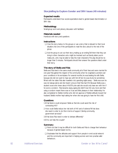# **Storytelling to Explore Gender and SRH Issues (40 minutes)**

#### **Expected results**

Participants understand how social expectations lead to gender-based discrimination or SRH risks

#### **Methodology**

Small-group work and plenary discussion with facilitator

#### **Materials needed**

Handouts with story and questions

#### **Instructions**

- ❑ Give the story below to the groups or use a story that is relevant to their local situation.Ask one of the participants to read the story aloud to the rest of the group.
- $\Box$  Ask the group to act out their story, making up an ending. Tell them that they can bring in other characters who might be involved such as friends, sisters, workmates, etc., who may be able to help the main characters.The play should be no longer than 5 minutes. Participants should then answer the questions listed under their story.

#### **The story of Stella and Fida**

Stella and Fida lived in the same small community all of their lives and were married for one year. Fida gained the respect of his community when he organised a protest over poor conditions in his workplace. For several months, he was beating his wife Stella, because she did not want to have sex with him.When he was drunk, he sometimes flirted with her sister. Fida also travelled a lot, spending nights away – Stella was sure he was not always alone and she heard rumours that Fida had HIV. Because Stella was a student nurse who knew about HIV/STIs, she said she would only have sex with him if he wore a condom. Fida became angry, saying she didn't love him any more and that using a condom meant there was no trust and little pleasure in their relationship. He also complained to Stella's mother, who did not approve of Stella's attitude toward her husband. Stella's mother kept asking her when she was going to have her first child.

#### **Questions**

- 1.What factors could empower Stella so that she could avoid the risk of contracting HIV?
- 2. How could Stella reduce her risk both of HIV and of violence? What does she need in order to do this in terms of support (family, community, government services)?
- 3.What does Fida need in order to behave differently?
- 4.Who can help the couple?

#### **Summary**

- ❑ Point out that it may be difficult for both Stella and Fida to change their behaviour because of gender-based norms.
- ❑ Emphasise that the attitudes and support from people in one's social network and the community are important in helping women and men practise safer behaviours.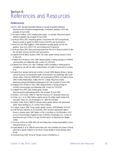# Section 6: References and Resources

# **References**

- 1.WHO. 2001. *Sexually transmitted diseases or sexually transmitted infections?* http://www.who.int/asd/knowledge/sexually\_transmitted\_diseases\_or.htm. last accessed 25 April 2001.
- 2.The Search Institute. 2001. *Developmental assets—an overview.* http://www.searchinstitute.org/assets/. last accessed 25 April 2001.
- 3. de Bruyn, Maria. 2001. Integrating gender components into AIDS programmes. *Resource packet on gender and AIDS.* Geneva, UNAIDS and Sociometrics.
- 4. Rivers, Kim and Peter Aggleton. 1999. *Adolescent sexuality, gender and the HIV epidemic.* New York, UNDP HIV and Development Programme.
- 5. de Bruyn, Maria. 2001. Best practices/programmes that work. *Resource packet on gender and AIDS.* Geneva, UNAIDS and Sociometrics.
- 6.Adapted from Williams, Suzanne. 1994. *The Oxfam gender training manual.* Oxford, Oxfam GB.
- 7.Adapted from Welbourn,Alice. 1995. *Stepping Stones: a training package on HIV/AIDS, communication and relationship skills.* London,ACTIONAID.
- 8.Adapted from Macks, J. No date. *Challenges in AIDS counselling: a training guide for counsellors for use with the video.* Lusaka, Ministry of Health, Government of Zambia et al.
- 9.Adapted from Jewkes, Rachel and Andrea Cornwall. 1998. *Stepping Stones: a training manual for sexual and reproductive health communication and relationship skills.* South African edition. Pretoria, CERSA/MRC and Johannesburg, PPASA, and Safer,Andrew. 1994. *Healthy Relationships.* Halifax, Men for Change. http://www.mediaawareness.ca/eng/med/class/teamedia/session1.htm. last accessed 25 April 2001.
- 10.Adapted from Welbourn,Alice. 1995. *Stepping Stones: a training package on* HIV/AIDS, communication and relationship skills. London, ACTIONAID.
- 11.Adapted from IPPF. 2000. *'Getting going'–Act!vate.* http://www.ippf.org/activate/going.htm. last accessed 25 April 2001.
- 12. Bobak, L. 24 October 1996. For sale: the innocence of Cambodia. *Ottawa Sun.*
- 13. Heise, Lori L. et al. 1994. *Violence against women: the hidden health burden.*WB Discussion Paper No. 255.Washington DC, IBRD/World Bank.
- 14. Epstein, Helen. March 1988.*The intimate enemy: gender violence and reproductive health.* Panos Briefing No. 27. London, Panos Institute.
- 15. Ondego, Ogova. 1998. Clergy explain gender violence. *GENDEReview,* 5(3): 8-9.
- 16. Hall Martínez, Katherine et al. December 1997. *Women's reproductive rights in Mexico: a shadow report.* 18th Session of the Committee on the Elimination of All Forms of Discrimination Against Women (CEDAW),Washington, DC, Center for Reproductive Law & Policy & Grupo de Información en Reproducción Elegida (GIRE).
- 17. Foreman, Martin, ed. 1999. *AIDS and men.Taking risks or taking responsibility?* London, Panos/Zed Books, p. 115.
- 18.Agula Bawah,A. et al. 1999.Women's fears and men's anxieties: the impact of family planning on gender relations in Northern Ghana. *Studies in Family Planning,* 30(1): 54-66.
- 19. Muhindi, B. July 1993."Immoral" female condom. *WorldAIDS,* p. 3.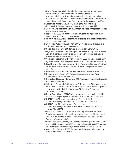- 20. Marres, Dorien. 1992. *AIDS and childbearing: an explorative study among Kenyan women.* [Dutch]. MA Thesis. Maastricht, University of Limburg, p. 27.
- 21. Graumann, Ulla. No date.A battle between 'the old order' and new thinking. In Nordahl Jakobsen, Linda and Nell Rasmussen, eds. *Women's voice – women's choices on reproductive health.* Copenhagen, Danish Family Planning Association, pp. 23-31.
- 22.Vos de Waal-Brongers, M. 1998. NRC newspaper [The Netherlands].
- 23. IPPF. 1996. *IPPF Charter on Sexual and Reproductive Rights.* London, IPPF.
- 24.WHO. 1997.Violence against women. Definition and scope of the problem. *Violence against women.* Geneva,WHO.
- 25. Epstein, Helen. 1998. *The intimate enemy: gender violence and reproductive health.* Panos Briefing No. 27. London, Panos Institute.
- 26. de Bruyn, Maria. 1999.*Young lives at risk.Adolescents and sexual health.* Panos Briefing No. 35. London, Panos Institute.
- 27.WHO Press Release WHO/20. 8 April 1999.WHO recognizes child abuse as a major public health problem. Geneva,WHO.
- 28. Cerdá, Magdalena. March 2001. Personal communication. Geneva, WHO.
- 29. Beger, Nico J. and Jackie Lewis. 1998. Equality for lesbians and gay men a relevant issue on all agendas. In *Equality for lesbians and gay men: a relevant issue in the civil and social dialogue.* Brussels, ILGA-Europe, p. 16.
- 30.Adolescent Health and Development Programme. 1998. *The second decade: improving adolescent health and development.* Geneva,WHO, p. 6.WHO/FRH/ADH/98.18.
- 31. Leye, Els et al. 1998. Medical aspects of FGM. In *Proceedings of the Expert Meeting on Female Genital Mutilation.* Ghent, International Centre for Reproductive Health, pp. 45-48.
- 32. Initiatives Inc. Boston. Summer 1998. *Reproductive Health Integration Issues,* 1(2): 1.
- 33. Dohlie, Maj-Britt. February 1995. *Adolescent sexuality in sub-Saharan Africa.* Washington, DC,Advocates for Youth, p. 2.
- 34. Harlem Brundtland, Gro. 8-12 February 1999. Reproductive health: a health priority. The Hague: ICPD+5 Forum.
- 35.Adler, Nancy E., Lauren B. Smith and Jeanne M.Tschann. 1998.Abortion among adolescents. In Beckman, Linda J. and S. Marie Harvey, eds. *The new civil war.The psychology, culture, and politics of abortion.*Washington, DC,American Psychological Association, pp. 285-298.
- 36. Patient, David. 5 January 2000.Why African teens won't wear condoms. Health-L Zambia e-mail list posting 378. http://www.hivnet.ch. last accessed 25 April 2001.
- 37. UNAIDS. 2000. *AIDS: men make a difference.* Geneva, UNAIDS. http://www.unaids.org/wac/2000/index.html. last accessed 25 April 2001.
- 38. UNAIDS. 2000. *AIDS epidemic update: December 2000.* http://www.unaids.org/wac/2000/wad00/files/WAD\_epidemic\_report.htm. last accessed 25 April 2001.
- 39.Adapted from ARROW. 1996. *Women-centred and gender-sensitive experiences. Changing our perspectives, policies and programmes on women's health in Asia and the* Pacific. A health resource kit. Kuala Lumpur, Asian-Pacific Resource & Research Centre for Women (ARROW).
- 40.Adapted from de Bruyn, Maria, Helen Jackson, Marianne Wijermars,Virginia Curtin Knight and Riet Berkvens. 1995-1997. *Facing the challenges of HIV/AIDS/STDs: a gender-based response.* Amsterdam, Royal Tropical Institute and Harare, SAfAIDS.
- 41.Adapted from Cox, K. et al. 1998. *Guía para capacitadores y capacitadoras en salud sexual.*Washington, DC, IPPF/WHR.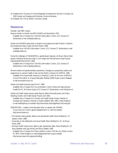42.Adapted from Diocese of Central Tanganyika Development Services Company Ltd. 2000. *Gender and Development Workshop,* Dodoma,Tanzania.

43.Adapted from GALE, British Columbia, Canada.

# **Resources**

# Gender and SRH topics

*Resource Packet on Gender and AIDS. UNAIDS and Sociometrics. 2001* Available free of charge from: UNAIDS, Information Centre, 1211 Geneva 27, Switzerland; e-mail: unaids@unaids.org

*Gender and HIV/AIDS: taking stock of research and programmes.* Best Practice Collection Key Material.Whelan, Daniel. UNAIDS. March 1999

Available from: UNAIDS Information Centre, 1211 Geneva 27, Switzerland; e-mail: unaids@unaids.org

*Facing the challenges of HIV/AIDS/STDs: a gender-based response.* de Bruyn, Maria, Helen Jackson, Marianne Wijermars,Virgin Curtin Knight and Riet Berkvens. Royal Tropical Institute/SAfAIDS/UNAIDS. 1998

Available free of charge from: UNAIDS, Information Centre, 1211 Geneva 27, Switzerland; e-mail: unaids@unaids.org

*Women-centred and gender-sensitive experiences. Changing our perspectives, policies and programmes on women's health in Asia and the Pacific.A resource kit.* ARROW. 1996

Available from:Asian-Pacific Resource & Research Centre for Women (ARROW), Ground Floor, Block G.,Anjung Felda, Jalan Maktab, 54000 Kuala Lumpur, Malaysia; e-mail: arrow@arrow.po.my

*Gender and health: technical paper.* WHO. 1998

Available free of charge from: Documentation Centre, Family and Reproductive Health,WHO, 20 Avenue Appia, 1211 Geneva 27, Switzerland; e-mail: info@who.ch

*Gender and health equity resource guide*. Baume, Elaine, Mercedes Juarez and Hilary Standing. Gender and Health Equity Project.April 2001

Available free of charge from: Gender and Health Equity Project, Institute of Development Studies, University of Sussex, Brighton BN1 9RE, United Kingdom: e-mail: health@ids.ac.uk; website: http://www.ids.ac.uk/bridge/Reports/Geneq.pdf

- *GENDER-AIDS—a global e-mail discussion forum on gender and HIV/AIDS.* To join send an e-mail to gender-aids@hivnet.ch or visit this website: http://www.hdnet.org
- *The intimate enemy: gender violence and reproductive health.* Panos Briefing No. 27. Epstein, Helen. 1988
- *Young lives at risk.Adolescents and sexual health.* Panos Briefing No. 35. de Bruyn, Maria. 1999
- *Women's health*. *Using human rights to gain reproductive rights.* Panos Briefing No. 32. Sloss, Elizabeth with Judy Mirsky and Marty Radlett. 1998 Available free of charge from: Panos Institute London, 9 White Lion Street, London N1 9PD, United Kingdom; e-mail: aids@panoslondon.org.uk; website: http://www.oneworld.org/panos/briefing/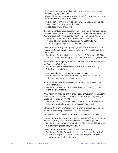- *Men's sexual health matters.* Davidson, Neil. 1998. single copies free to developing countries; £10/US\$20 elsewhere
- *Working with young people on sexual health and HIV/AIDS.* 1996. single copies free to developing countries; £5/US\$10 elsewhere

Available from: Healthlink Worldwide, Cityside, 40 Adler Street, London E1 1EE, United Kingdom; e-mail info@healthlink.org.uk; website: http://www.healthlink.org.uk

*Reaching men worldwide: lessons learned from family planning and communication projects, 1986-1996.*Working Paper No. 3. Baltimore: Johns Hopkins Center for Communication Programs/Population Communication Services/Population Information Program. 1997

Available from: Johns Hopkins School of Public Health, Center for Communication Programs, III Market Place, Suite 310, Baltimore, MD 21202-4012, USA; e-mail: ctrpub@jhuccp.org; website: http://www.jhuccp.org

*Involving males in preventing teen pregnancy.A guide for program planners.* Sonenstein, Freya L., Kellie Stewart, Laura Duberstein Lindberg, Marta Pernas and Sean Williams. The Urban Institute

Available from:The Urban Institute, 2100 M Street, N.W.,Washington, DC 20037, USA; e-mail: paffairs@ui.urban.org; website: http://www.urban.org/family/invmales.html

*Violence against women.A priority health issue.*WHO/FRH/WHD.97.8.Women's Health and Development,WHO. 1997

Available from: Family and Reproductive Health,WHO, 1211 Geneva 27, Switzerland: e-mail: info@who.ch

*Violence, unwanted pregnancy and abortion.* de Bruyn, Maria. Ipas. 2000 Available from: Ipas, 300 Market Street, Suite 200, Chapel Hill, NC 27516, USA; email: ipas@ipas.org; website: http://www.ipas.org

*Sexual and domestic violence. Help, recovery and action in Zimbabwe.*Taylor, Jill and Sheelagh Stewart. 1991

Available from:Women and Law in Southern Africa, P.O. Box UA 171, Union Avenue, Harare, Zimbabwe

*Putting women first: ethical and safety recommendations for research on domestic violence against women.* WHO/EIP/GPE/99.2.Watts, Charlotte, Lori Heise, Mary Ellsberg and Claudia García Moreno.WHO. 1999

Available from:WHO, 20 Avenue Appia, 1211 Geneva 27, Switzerland; website: http://www.who.int/violence\_injury\_prevention/vaw/ethicsenglish.doc

*Adolescence Directory On-Line.* Website with a directory of institutions working with adolescents.Website: http://education.indiana.edu/cas/adol/adol.htm

*Youth Initiative.* SEATS II Project website.Website: http://www.jsi.com/intl/seats

*Identifying the intersection: adolescent unwanted pregnancy, HIV/AIDS and unsafe abortion.* Radhakrishna,Aruna, Robert E. Gringle and Forrest C. Greenslade. Ipas. 1997. Available from: Ipas, 300 Market Street, Suite 200, Chapel Hill, NC 27516, USA; email: ipas@ipas.org; website: http://www.ipas.org

*Induced abortion worldwide. Facts in brief.* The Alan Guttmacher Institute. 2000 Available from:The Alan Guttmacher Institute, 1120 Connecticut Avenue, N.W., Suite 460,Washington, DC 20036, USA; e-mail: policyinfo@agi-usa.org; website: http://www.agi-usa.org/pubs/fb\_0599.html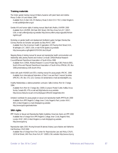# **Training materials**

*The Oxfam gender training manual.* Williams, Suzanne with Janet Seed and Adelina Mwau. Oxfam UK and Ireland. 1994 Available from: Oxfam GB, 274 Banbury Road, Oxford OX2 7DZ, United Kingdom; e-mail: publish@oxfam.org.uk

*Gender, HIV and human rights.A training manual.* Bala Nath, Madhu. UNIFEM. 2000 Available from: UNIFEM, 304 East 45th Street, 15th floor, New York, NY 10017, USA; e-mail: unifem@undp.org; website: http://www.unifem.undp.org/public/hivtraining/intro.pdf

*Workshop on gender, health and development: facilitator's guide.* Hartigan, Pamela, Elsa Gómez, Martine de Schutter and Janete da Silva. PAHO. 1997

Available from: Pan American Health Organization, 525 Twenty-third Street, N.W., Washington, DC 20037, USA; e-mail: HDW@paho.org; website: http://www.paho.org/English/HDP/HDW/doc516.pdf

*Stepping Stones.A training manual for sexual and reproductive health communication and relationship skills.* Jewkes, Rachel and Andrea Cornwall. CERSA/Medical Research Council/Planned Parenthood Association of South Africa. 1998

Available from: CERSA, Medical Research Council, Private Bag X385, Pretoria 0001, South Africa and Planned Parenthood Association of South Africa (PPASA), P.O. Box 1008, Johannesburg 2109, South Africa

*Action with youth: HIV/AIDS and STD: a training manual for young people.* IFRCRC. 2000 Available from: International Federation of Red Cross and Red Crescent Societies (IFRCRC), P.O. Box 372, 1211 Geneva 19, Switzerland; e-mail: secretariat@ifrc.org

Healthy Relationships: a violence-prevention curriculum. Safer, Andrew. Men for Change. 1994.

Available from: Men for Change, Box 33005, Quinpool Postal Outlet, Halifax, Nova Scotia, Canada B3L 4T6; e-mail: aa116@chebucto.ns.ca; website: http://www.chebucto.ns.ca/CommunitySupport/Men4Change/index.htm

*Act!vate:A workbook for young people on sexual and reproductive health.* IPPF/Youth. 2000 Available from: IPPF, Regent's College, Inner Circle, Regent's Park, London NW1 4NS, United Kingdom; e-mail: info@ippf.org; website: http://www.ippf.org/activate/index

# **SRH rights**

*IPPF Charter on Sexual and Reproductive Rights Guidelines,* Newman, Karen, ed. IPPF. 2000 Available free of charge from: IPPF, Regent's College, Inner Circle, Regent's Park, London NW1 4NS, United Kingdom; e-mail: info@ippf.org; website: http://www.ippf.org

*Reproductive rights 2000.* Moving forward.Waisman,Viviana, Laura Katzive and Katherine Hall Martínez. CRLP. 2000

Available free of charge from:The Center for Reproductive Law and Policy (CRLP), 120 Wall Street, 14th Floor, New York, NY 10005, USA; website: http://www.crlp.org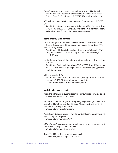*Women's sexual and reproductive rights and health action sheets. HERA Secretariat*  Available from: HERA Secretariat, c/o International Women's Health Coalition, 24 East 21st Street, 5th Floor, New York, NY 10010, USA; e-mail: hera@iwhc.org

*AIDS, health and human rights.An explanatory manual.* Mann, Jonathan et al. IFRCRC. 1995

Available from: International Federation of Red Cross and Red Crescent Societies (IFRCRC), P.O. Box 372, 1211 Geneva 19, Switzerland; e-mail: secretariat@ifrc.org; website: http://www.ifrc.org/publicat/catalog/autogen/2665.asp

#### **Youth-friendly SRH services**

*The Youth Friendly checklist* and poster *Your Comments Count.* Developed by the IPPF youth committee, a group of 12 young people from around the world, and IPPF's Global Advocacy Division.

Available from: IPPF, Regent's College, Inner Circle, Regent's Park, London NW1 4NS, United Kingdom; e-mail: info@ippf.org; website: http://www.ippf.org/xpress/2\_2/7.htm

*Meeting the needs of young clients: a guide to providing reproductive health services to adolescents.* 2000

Available from: Family Health International, P.O. Box 13950, Research Triangle Park, NC 27709, USA; e-mail: jobs@fhi.org; website: http://www.fhi.org/en/fp/fpother/adolhand/adolchap1.html

#### *Adolescent sexuality.* UNFPA

Available from: United Nations Population Fund (UNFPA), 220 East 42nd Street, New York, NY 10017, USA; e-mail: hq@unfpa.org; website: http://www.unfpa.org/modules/intercenter/reprights/self.htm

#### **Websites for young people**

*Mezzo.*The online guide to love and relationships for young people by young people Website: http://www.ippf.org/mezzo/index.htm

*Youth Shakers.* A website being developed by young people working with IPPF members in Nepal, Peru, Dominican Republic, Iceland,Albania, India, Ghana, Kenya, the Philippines, Indonesia, Egypt and Algeria

Website: http://www.youthshakers.org/

*Voices of youth.* Discussion forums on how the world can become a place where the rights of every child are protected

Website: http://www.unicef.org/voy/

*yo! Youth Outlook.* A monthly newspaper by and about young people, which also syndicates articles to newspapers across the USA Website: http://www.pacificnews.org/yo/

*X-press.*The IPPF newsletter by and for young people Website: http://www.ippf.org/x-press/index.htm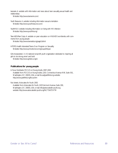*teenwire.* A website with information and news about teen sexuality, sexual health and relationships

Website: http://www.teenwire.com/

- *Youth Resource.* A website including information sexual orientation Website: http://www.youthresource.com/
- *YouthHIV.* A website including information on living with HIV infection Website: http://www.youthhiv.org/

*Teen AIDS-Peer Corps.* A website on peer education on HIV/AIDS worldwide, with comments from young people Website: http://www.teenaids.org/page3.shtml

*HiTOPS.* Health Interested Teens Own Program on Sexuality Website: http://www.princetonol.com/groups/hitops/

*Girls Incorporated.* A US national nonprofit youth organization dedicated to inspiring all girls to be strong, smart and bold Website: http://www.girlsinc.org/ic/

# **Publications for young people**

*In Focus Factsheets.* FOCUS on Young Adults. 1997-2001 Available from: FOCUS on Young Adults, 1201 Connecticut Avenue NW, Suite 501, Washington, DC 20035, USA; e-mail: focus@pathfind.org; website: http://www.pathfind.org/focus.htm

*Fact sheets.* Advocates for Youth. 2001

Available from: Advocates for Youth, 1025 Vermont Avenue, Suite 200, Washington, DC 20005, USA; e-mail: info@advocatesforyouth.org; website: http://www.advocatesforyouth.org/FACTSHET.HTM